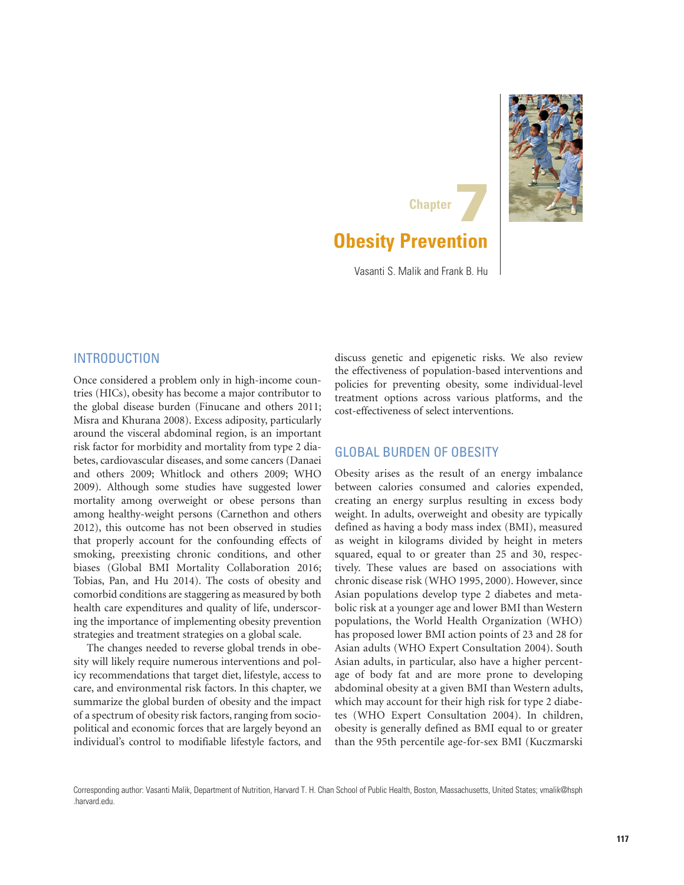# **Chapter 7**

# **Obesity Prevention**

Vasanti S. Malik and Frank B. Hu

# **INTRODUCTION**

Once considered a problem only in high-income countries (HICs), obesity has become a major contributor to the global disease burden (Finucane and others 2011; Misra and Khurana 2008). Excess adiposity, particularly around the visceral abdominal region, is an important risk factor for morbidity and mortality from type 2 diabetes, cardiovascular diseases, and some cancers (Danaei and others 2009; Whitlock and others 2009; WHO 2009). Although some studies have suggested lower mortality among overweight or obese persons than among healthy-weight persons (Carnethon and others 2012), this outcome has not been observed in studies that properly account for the confounding effects of smoking, preexisting chronic conditions, and other biases (Global BMI Mortality Collaboration 2016; Tobias, Pan, and Hu 2014). The costs of obesity and comorbid conditions are staggering as measured by both health care expenditures and quality of life, underscoring the importance of implementing obesity prevention strategies and treatment strategies on a global scale.

The changes needed to reverse global trends in obesity will likely require numerous interventions and policy recommendations that target diet, lifestyle, access to care, and environmental risk factors. In this chapter, we summarize the global burden of obesity and the impact of a spectrum of obesity risk factors, ranging from sociopolitical and economic forces that are largely beyond an individual's control to modifiable lifestyle factors, and

discuss genetic and epigenetic risks. We also review the effectiveness of population-based interventions and policies for preventing obesity, some individual-level treatment options across various platforms, and the cost-effectiveness of select interventions.

# GLOBAL BURDEN OF OBESITY

Obesity arises as the result of an energy imbalance between calories consumed and calories expended, creating an energy surplus resulting in excess body weight. In adults, overweight and obesity are typically defined as having a body mass index (BMI), measured as weight in kilograms divided by height in meters squared, equal to or greater than 25 and 30, respectively. These values are based on associations with chronic disease risk (WHO 1995, 2000). However, since Asian populations develop type 2 diabetes and metabolic risk at a younger age and lower BMI than Western populations, the World Health Organization (WHO) has proposed lower BMI action points of 23 and 28 for Asian adults (WHO Expert Consultation 2004). South Asian adults, in particular, also have a higher percentage of body fat and are more prone to developing abdominal obesity at a given BMI than Western adults, which may account for their high risk for type 2 diabetes (WHO Expert Consultation 2004). In children, obesity is generally defined as BMI equal to or greater than the 95th percentile age-for-sex BMI (Kuczmarski

Corresponding author: Vasanti Malik, Department of Nutrition, Harvard T. H. Chan School of Public Health, Boston, Massachusetts, United States; vmalik@hsph .harvard.edu.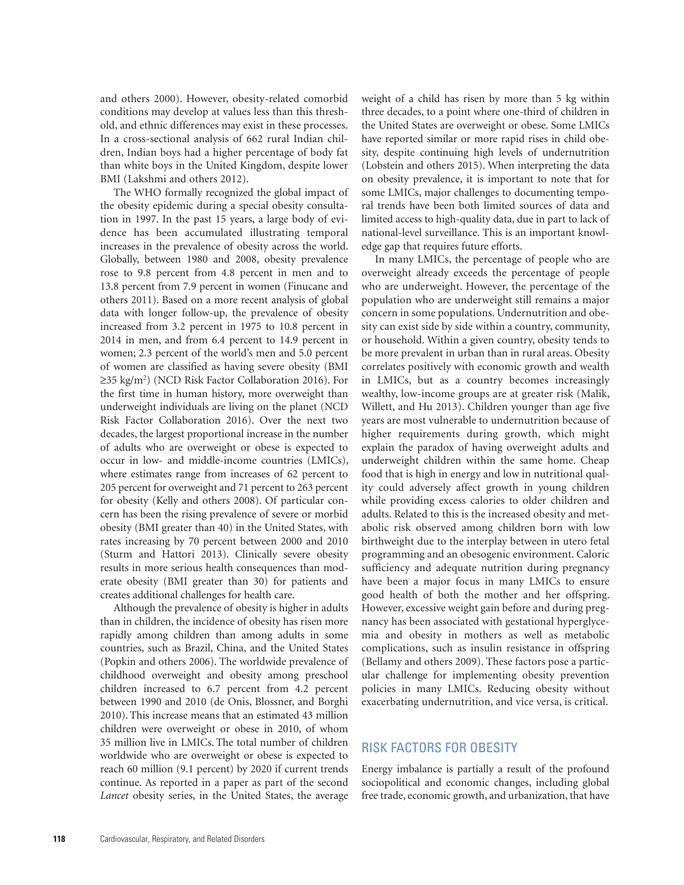and others 2000). However, obesity-related comorbid conditions may develop at values less than this threshold, and ethnic differences may exist in these processes. In a cross-sectional analysis of 662 rural Indian children, Indian boys had a higher percentage of body fat than white boys in the United Kingdom, despite lower BMI (Lakshmi and others 2012).

The WHO formally recognized the global impact of the obesity epidemic during a special obesity consultation in 1997. In the past 15 years, a large body of evidence has been accumulated illustrating temporal increases in the prevalence of obesity across the world. Globally, between 1980 and 2008, obesity prevalence rose to 9.8 percent from 4.8 percent in men and to 13.8 percent from 7.9 percent in women (Finucane and others 2011). Based on a more recent analysis of global data with longer follow-up, the prevalence of obesity increased from 3.2 percent in 1975 to 10.8 percent in 2014 in men, and from 6.4 percent to 14.9 percent in women; 2.3 percent of the world's men and 5.0 percent of women are classified as having severe obesity (BMI ≥35 kg/m2 ) (NCD Risk Factor Collaboration 2016). For the first time in human history, more overweight than underweight individuals are living on the planet (NCD Risk Factor Collaboration 2016). Over the next two decades, the largest proportional increase in the number of adults who are overweight or obese is expected to occur in low- and middle-income countries (LMICs), where estimates range from increases of 62 percent to 205 percent for overweight and 71 percent to 263 percent for obesity (Kelly and others 2008). Of particular concern has been the rising prevalence of severe or morbid obesity (BMI greater than 40) in the United States, with rates increasing by 70 percent between 2000 and 2010 (Sturm and Hattori 2013). Clinically severe obesity results in more serious health consequences than moderate obesity (BMI greater than 30) for patients and creates additional challenges for health care.

Although the prevalence of obesity is higher in adults than in children, the incidence of obesity has risen more rapidly among children than among adults in some countries, such as Brazil, China, and the United States (Popkin and others 2006). The worldwide prevalence of childhood overweight and obesity among preschool children increased to 6.7 percent from 4.2 percent between 1990 and 2010 (de Onis, Blossner, and Borghi 2010).This increase means that an estimated 43 million children were overweight or obese in 2010, of whom 35 million live in LMICs. The total number of children worldwide who are overweight or obese is expected to reach 60 million (9.1 percent) by 2020 if current trends continue. As reported in a paper as part of the second *Lancet* obesity series, in the United States, the average

weight of a child has risen by more than 5 kg within three decades, to a point where one-third of children in the United States are overweight or obese. Some LMICs have reported similar or more rapid rises in child obesity, despite continuing high levels of undernutrition (Lobstein and others 2015). When interpreting the data on obesity prevalence, it is important to note that for some LMICs, major challenges to documenting temporal trends have been both limited sources of data and limited access to high-quality data, due in part to lack of national-level surveillance. This is an important knowledge gap that requires future efforts.

In many LMICs, the percentage of people who are overweight already exceeds the percentage of people who are underweight. However, the percentage of the population who are underweight still remains a major concern in some populations. Undernutrition and obesity can exist side by side within a country, community, or household. Within a given country, obesity tends to be more prevalent in urban than in rural areas. Obesity correlates positively with economic growth and wealth in LMICs, but as a country becomes increasingly wealthy, low-income groups are at greater risk (Malik, Willett, and Hu 2013). Children younger than age five years are most vulnerable to undernutrition because of higher requirements during growth, which might explain the paradox of having overweight adults and underweight children within the same home. Cheap food that is high in energy and low in nutritional quality could adversely affect growth in young children while providing excess calories to older children and adults. Related to this is the increased obesity and metabolic risk observed among children born with low birthweight due to the interplay between in utero fetal programming and an obesogenic environment. Caloric sufficiency and adequate nutrition during pregnancy have been a major focus in many LMICs to ensure good health of both the mother and her offspring. However, excessive weight gain before and during pregnancy has been associated with gestational hyperglycemia and obesity in mothers as well as metabolic complications, such as insulin resistance in offspring (Bellamy and others 2009). These factors pose a particular challenge for implementing obesity prevention policies in many LMICs. Reducing obesity without exacerbating undernutrition, and vice versa, is critical.

# RISK FACTORS FOR OBESITY

Energy imbalance is partially a result of the profound sociopolitical and economic changes, including global free trade, economic growth, and urbanization, that have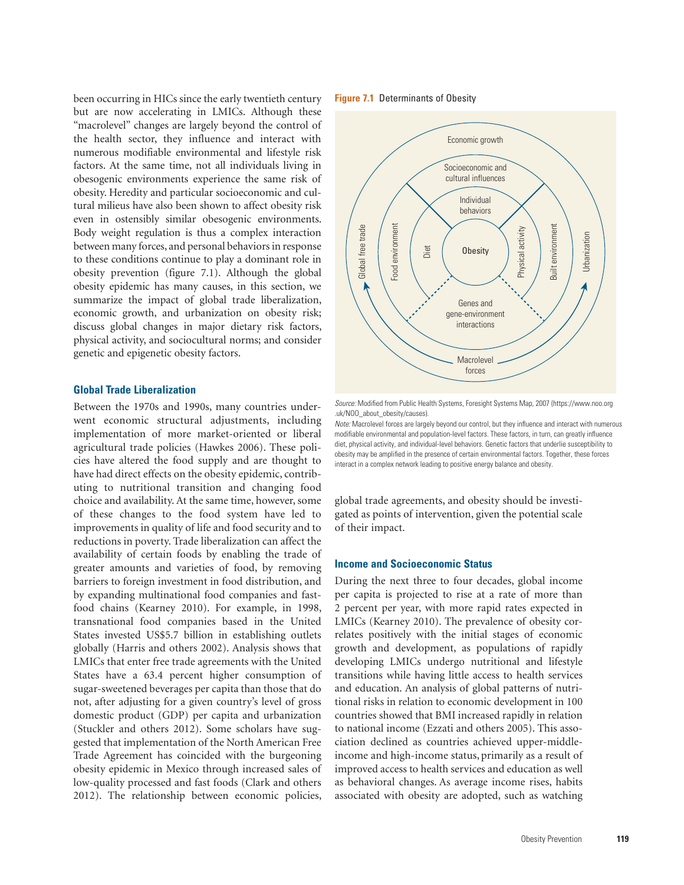been occurring in HICs since the early twentieth century but are now accelerating in LMICs. Although these "macrolevel" changes are largely beyond the control of the health sector, they influence and interact with numerous modifiable environmental and lifestyle risk factors. At the same time, not all individuals living in obesogenic environments experience the same risk of obesity. Heredity and particular socioeconomic and cultural milieus have also been shown to affect obesity risk even in ostensibly similar obesogenic environments. Body weight regulation is thus a complex interaction between many forces, and personal behaviors in response to these conditions continue to play a dominant role in obesity prevention (figure 7.1). Although the global obesity epidemic has many causes, in this section, we summarize the impact of global trade liberalization, economic growth, and urbanization on obesity risk; discuss global changes in major dietary risk factors, physical activity, and sociocultural norms; and consider genetic and epigenetic obesity factors.

### **Global Trade Liberalization**

Between the 1970s and 1990s, many countries underwent economic structural adjustments, including implementation of more market-oriented or liberal agricultural trade policies (Hawkes 2006). These policies have altered the food supply and are thought to have had direct effects on the obesity epidemic, contributing to nutritional transition and changing food choice and availability. At the same time, however, some of these changes to the food system have led to improvements in quality of life and food security and to reductions in poverty. Trade liberalization can affect the availability of certain foods by enabling the trade of greater amounts and varieties of food, by removing barriers to foreign investment in food distribution, and by expanding multinational food companies and fastfood chains (Kearney 2010). For example, in 1998, transnational food companies based in the United States invested US\$5.7 billion in establishing outlets globally (Harris and others 2002). Analysis shows that LMICs that enter free trade agreements with the United States have a 63.4 percent higher consumption of sugar-sweetened beverages per capita than those that do not, after adjusting for a given country's level of gross domestic product (GDP) per capita and urbanization (Stuckler and others 2012). Some scholars have suggested that implementation of the North American Free Trade Agreement has coincided with the burgeoning obesity epidemic in Mexico through increased sales of low-quality processed and fast foods (Clark and others 2012). The relationship between economic policies,

#### **Figure 7.1** Determinants of Obesity



Source: Modified from Public Health Systems, Foresight Systems Map, 2007 (https://www.noo.org [.uk/NOO\\_about\\_obesity/causes\)](https://www.noo.org.uk/NOO_about_obesity/causes).

Note: Macrolevel forces are largely beyond our control, but they influence and interact with numerous modifiable environmental and population-level factors. These factors, in turn, can greatly influence diet, physical activity, and individual-level behaviors. Genetic factors that underlie susceptibility to obesity may be amplified in the presence of certain environmental factors. Together, these forces interact in a complex network leading to positive energy balance and obesity.

global trade agreements, and obesity should be investigated as points of intervention, given the potential scale of their impact.

#### **Income and Socioeconomic Status**

During the next three to four decades, global income per capita is projected to rise at a rate of more than 2 percent per year, with more rapid rates expected in LMICs (Kearney 2010). The prevalence of obesity correlates positively with the initial stages of economic growth and development, as populations of rapidly developing LMICs undergo nutritional and lifestyle transitions while having little access to health services and education. An analysis of global patterns of nutritional risks in relation to economic development in 100 countries showed that BMI increased rapidly in relation to national income (Ezzati and others 2005). This association declined as countries achieved upper- middleincome and high-income status, primarily as a result of improved access to health services and education as well as behavioral changes. As average income rises, habits associated with obesity are adopted, such as watching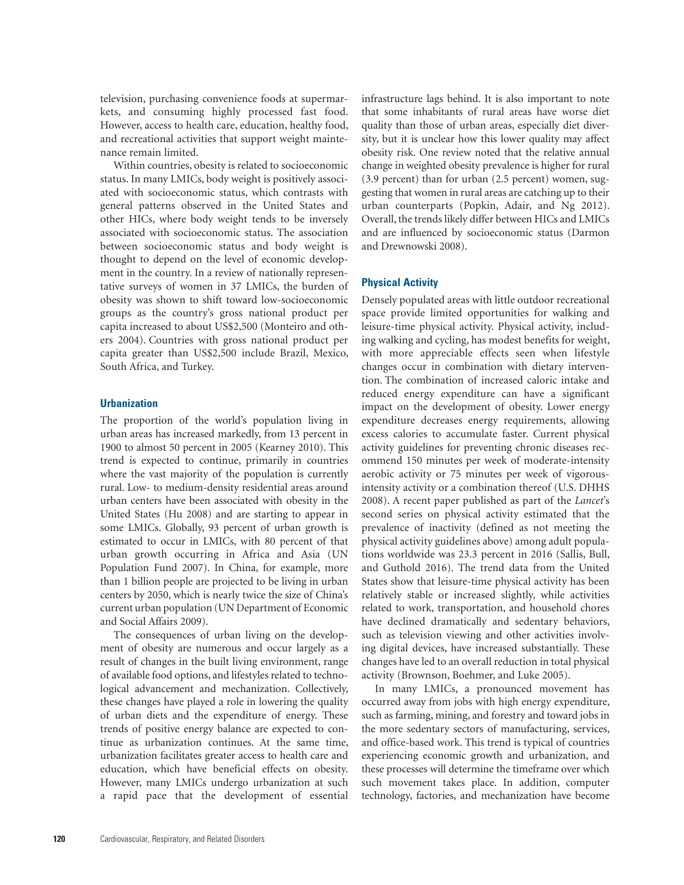television, purchasing convenience foods at supermarkets, and consuming highly processed fast food. However, access to health care, education, healthy food, and recreational activities that support weight maintenance remain limited.

Within countries, obesity is related to socioeconomic status. In many LMICs, body weight is positively associated with socioeconomic status, which contrasts with general patterns observed in the United States and other HICs, where body weight tends to be inversely associated with socioeconomic status. The association between socioeconomic status and body weight is thought to depend on the level of economic development in the country. In a review of nationally representative surveys of women in 37 LMICs, the burden of obesity was shown to shift toward low-socioeconomic groups as the country's gross national product per capita increased to about US\$2,500 (Monteiro and others 2004). Countries with gross national product per capita greater than US\$2,500 include Brazil, Mexico, South Africa, and Turkey.

### **Urbanization**

The proportion of the world's population living in urban areas has increased markedly, from 13 percent in 1900 to almost 50 percent in 2005 (Kearney 2010). This trend is expected to continue, primarily in countries where the vast majority of the population is currently rural. Low- to medium-density residential areas around urban centers have been associated with obesity in the United States (Hu 2008) and are starting to appear in some LMICs. Globally, 93 percent of urban growth is estimated to occur in LMICs, with 80 percent of that urban growth occurring in Africa and Asia (UN Population Fund 2007). In China, for example, more than 1 billion people are projected to be living in urban centers by 2050, which is nearly twice the size of China's current urban population (UN Department of Economic and Social Affairs 2009).

The consequences of urban living on the development of obesity are numerous and occur largely as a result of changes in the built living environment, range of available food options, and lifestyles related to technological advancement and mechanization. Collectively, these changes have played a role in lowering the quality of urban diets and the expenditure of energy. These trends of positive energy balance are expected to continue as urbanization continues. At the same time, urbanization facilitates greater access to health care and education, which have beneficial effects on obesity. However, many LMICs undergo urbanization at such a rapid pace that the development of essential

infrastructure lags behind. It is also important to note that some inhabitants of rural areas have worse diet quality than those of urban areas, especially diet diversity, but it is unclear how this lower quality may affect obesity risk. One review noted that the relative annual change in weighted obesity prevalence is higher for rural (3.9 percent) than for urban (2.5 percent) women, suggesting that women in rural areas are catching up to their urban counterparts (Popkin, Adair, and Ng 2012). Overall, the trends likely differ between HICs and LMICs and are influenced by socioeconomic status (Darmon and Drewnowski 2008).

### **Physical Activity**

Densely populated areas with little outdoor recreational space provide limited opportunities for walking and leisure-time physical activity. Physical activity, including walking and cycling, has modest benefits for weight, with more appreciable effects seen when lifestyle changes occur in combination with dietary intervention. The combination of increased caloric intake and reduced energy expenditure can have a significant impact on the development of obesity. Lower energy expenditure decreases energy requirements, allowing excess calories to accumulate faster. Current physical activity guidelines for preventing chronic diseases recommend 150 minutes per week of moderate-intensity aerobic activity or 75 minutes per week of vigorousintensity activity or a combination thereof (U.S. DHHS 2008). A recent paper published as part of the *Lancet*'s second series on physical activity estimated that the prevalence of inactivity (defined as not meeting the physical activity guidelines above) among adult populations worldwide was 23.3 percent in 2016 (Sallis, Bull, and Guthold 2016). The trend data from the United States show that leisure-time physical activity has been relatively stable or increased slightly, while activities related to work, transportation, and household chores have declined dramatically and sedentary behaviors, such as television viewing and other activities involving digital devices, have increased substantially. These changes have led to an overall reduction in total physical activity (Brownson, Boehmer, and Luke 2005).

In many LMICs, a pronounced movement has occurred away from jobs with high energy expenditure, such as farming, mining, and forestry and toward jobs in the more sedentary sectors of manufacturing, services, and office-based work. This trend is typical of countries experiencing economic growth and urbanization, and these processes will determine the timeframe over which such movement takes place. In addition, computer technology, factories, and mechanization have become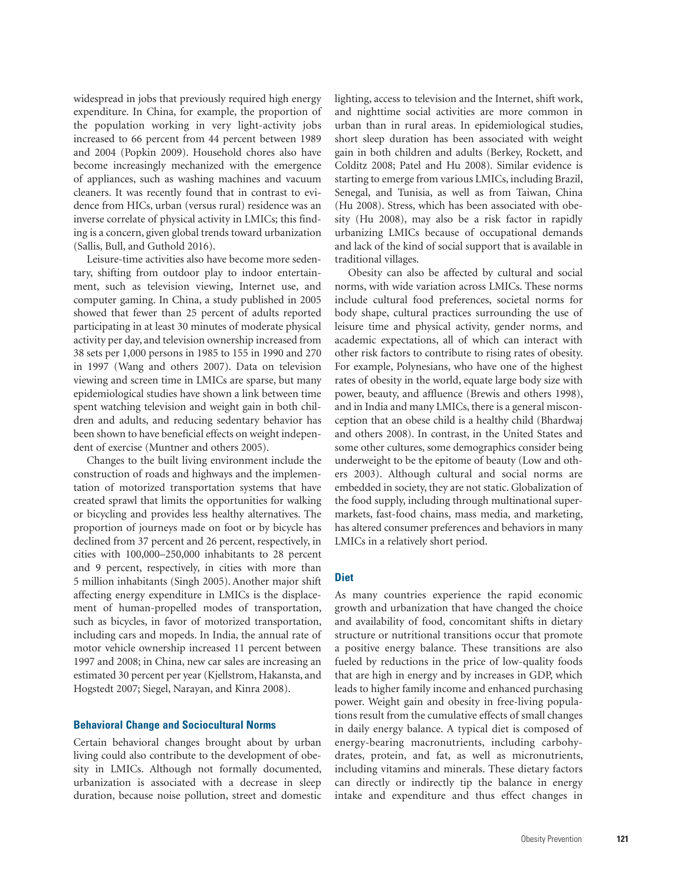widespread in jobs that previously required high energy expenditure. In China, for example, the proportion of the population working in very light-activity jobs increased to 66 percent from 44 percent between 1989 and 2004 (Popkin 2009). Household chores also have become increasingly mechanized with the emergence of appliances, such as washing machines and vacuum cleaners. It was recently found that in contrast to evidence from HICs, urban (versus rural) residence was an inverse correlate of physical activity in LMICs; this finding is a concern, given global trends toward urbanization (Sallis, Bull, and Guthold 2016).

Leisure-time activities also have become more sedentary, shifting from outdoor play to indoor entertainment, such as television viewing, Internet use, and computer gaming. In China, a study published in 2005 showed that fewer than 25 percent of adults reported participating in at least 30 minutes of moderate physical activity per day, and television ownership increased from 38 sets per 1,000 persons in 1985 to 155 in 1990 and 270 in 1997 (Wang and others 2007). Data on television viewing and screen time in LMICs are sparse, but many epidemiological studies have shown a link between time spent watching television and weight gain in both children and adults, and reducing sedentary behavior has been shown to have beneficial effects on weight independent of exercise (Muntner and others 2005).

Changes to the built living environment include the construction of roads and highways and the implementation of motorized transportation systems that have created sprawl that limits the opportunities for walking or bicycling and provides less healthy alternatives. The proportion of journeys made on foot or by bicycle has declined from 37 percent and 26 percent, respectively, in cities with 100,000–250,000 inhabitants to 28 percent and 9 percent, respectively, in cities with more than 5 million inhabitants (Singh 2005).Another major shift affecting energy expenditure in LMICs is the displacement of human-propelled modes of transportation, such as bicycles, in favor of motorized transportation, including cars and mopeds. In India, the annual rate of motor vehicle ownership increased 11 percent between 1997 and 2008; in China, new car sales are increasing an estimated 30 percent per year (Kjellstrom, Hakansta, and Hogstedt 2007; Siegel, Narayan, and Kinra 2008).

# **Behavioral Change and Sociocultural Norms**

Certain behavioral changes brought about by urban living could also contribute to the development of obesity in LMICs. Although not formally documented, urbanization is associated with a decrease in sleep duration, because noise pollution, street and domestic lighting, access to television and the Internet, shift work, and nighttime social activities are more common in urban than in rural areas. In epidemiological studies, short sleep duration has been associated with weight gain in both children and adults (Berkey, Rockett, and Colditz 2008; Patel and Hu 2008). Similar evidence is starting to emerge from various LMICs, including Brazil, Senegal, and Tunisia, as well as from Taiwan, China (Hu 2008). Stress, which has been associated with obesity (Hu 2008), may also be a risk factor in rapidly urbanizing LMICs because of occupational demands and lack of the kind of social support that is available in traditional villages.

Obesity can also be affected by cultural and social norms, with wide variation across LMICs. These norms include cultural food preferences, societal norms for body shape, cultural practices surrounding the use of leisure time and physical activity, gender norms, and academic expectations, all of which can interact with other risk factors to contribute to rising rates of obesity. For example, Polynesians, who have one of the highest rates of obesity in the world, equate large body size with power, beauty, and affluence (Brewis and others 1998), and in India and many LMICs, there is a general misconception that an obese child is a healthy child (Bhardwaj and others 2008). In contrast, in the United States and some other cultures, some demographics consider being underweight to be the epitome of beauty (Low and others 2003). Although cultural and social norms are embedded in society, they are not static. Globalization of the food supply, including through multinational supermarkets, fast-food chains, mass media, and marketing, has altered consumer preferences and behaviors in many LMICs in a relatively short period.

#### **Diet**

As many countries experience the rapid economic growth and urbanization that have changed the choice and availability of food, concomitant shifts in dietary structure or nutritional transitions occur that promote a positive energy balance. These transitions are also fueled by reductions in the price of low-quality foods that are high in energy and by increases in GDP, which leads to higher family income and enhanced purchasing power. Weight gain and obesity in free-living populations result from the cumulative effects of small changes in daily energy balance. A typical diet is composed of energy-bearing macronutrients, including carbohydrates, protein, and fat, as well as micronutrients, including vitamins and minerals. These dietary factors can directly or indirectly tip the balance in energy intake and expenditure and thus effect changes in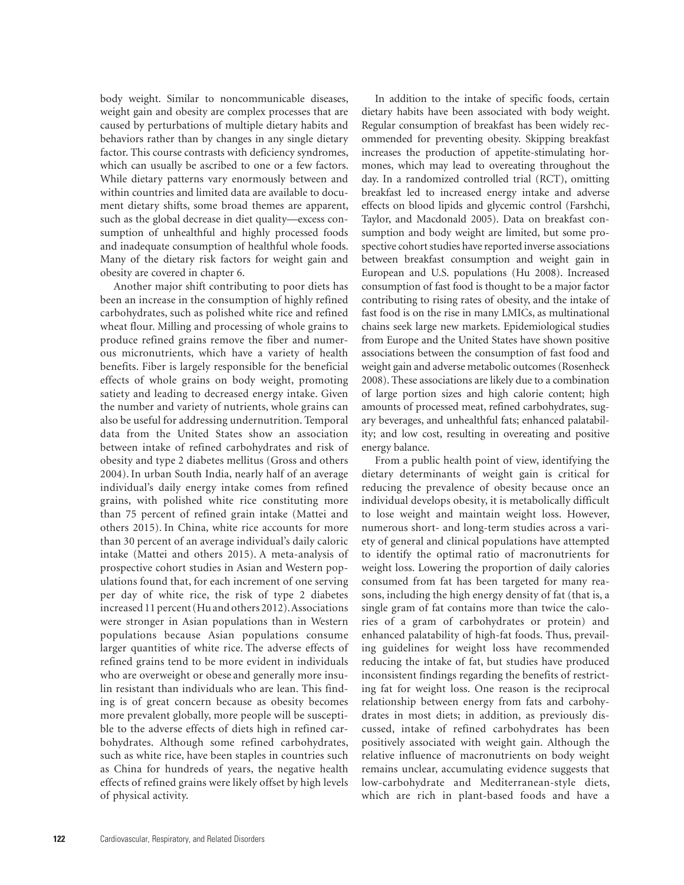body weight. Similar to noncommunicable diseases, weight gain and obesity are complex processes that are caused by perturbations of multiple dietary habits and behaviors rather than by changes in any single dietary factor. This course contrasts with deficiency syndromes, which can usually be ascribed to one or a few factors. While dietary patterns vary enormously between and within countries and limited data are available to document dietary shifts, some broad themes are apparent, such as the global decrease in diet quality—excess consumption of unhealthful and highly processed foods and inadequate consumption of healthful whole foods. Many of the dietary risk factors for weight gain and obesity are covered in chapter 6.

Another major shift contributing to poor diets has been an increase in the consumption of highly refined carbohydrates, such as polished white rice and refined wheat flour. Milling and processing of whole grains to produce refined grains remove the fiber and numerous micronutrients, which have a variety of health benefits. Fiber is largely responsible for the beneficial effects of whole grains on body weight, promoting satiety and leading to decreased energy intake. Given the number and variety of nutrients, whole grains can also be useful for addressing undernutrition. Temporal data from the United States show an association between intake of refined carbohydrates and risk of obesity and type 2 diabetes mellitus (Gross and others 2004).In urban South India, nearly half of an average individual's daily energy intake comes from refined grains, with polished white rice constituting more than 75 percent of refined grain intake (Mattei and others 2015). In China, white rice accounts for more than 30 percent of an average individual's daily caloric intake (Mattei and others 2015). A meta-analysis of prospective cohort studies in Asian and Western populations found that, for each increment of one serving per day of white rice, the risk of type 2 diabetes increased 11 percent (Hu and others 2012).Associations were stronger in Asian populations than in Western populations because Asian populations consume larger quantities of white rice. The adverse effects of refined grains tend to be more evident in individuals who are overweight or obese and generally more insulin resistant than individuals who are lean. This finding is of great concern because as obesity becomes more prevalent globally, more people will be susceptible to the adverse effects of diets high in refined carbohydrates. Although some refined carbohydrates, such as white rice, have been staples in countries such as China for hundreds of years, the negative health effects of refined grains were likely offset by high levels of physical activity.

In addition to the intake of specific foods, certain dietary habits have been associated with body weight. Regular consumption of breakfast has been widely recommended for preventing obesity. Skipping breakfast increases the production of appetite-stimulating hormones, which may lead to overeating throughout the day. In a randomized controlled trial (RCT), omitting breakfast led to increased energy intake and adverse effects on blood lipids and glycemic control (Farshchi, Taylor, and Macdonald 2005). Data on breakfast consumption and body weight are limited, but some prospective cohort studies have reported inverse associations between breakfast consumption and weight gain in European and U.S. populations (Hu 2008). Increased consumption of fast food is thought to be a major factor contributing to rising rates of obesity, and the intake of fast food is on the rise in many LMICs, as multinational chains seek large new markets. Epidemiological studies from Europe and the United States have shown positive associations between the consumption of fast food and weight gain and adverse metabolic outcomes (Rosenheck 2008). These associations are likely due to a combination of large portion sizes and high calorie content; high amounts of processed meat, refined carbohydrates, sugary beverages, and unhealthful fats; enhanced palatability; and low cost, resulting in overeating and positive energy balance.

From a public health point of view, identifying the dietary determinants of weight gain is critical for reducing the prevalence of obesity because once an individual develops obesity, it is metabolically difficult to lose weight and maintain weight loss. However, numerous short- and long-term studies across a variety of general and clinical populations have attempted to identify the optimal ratio of macronutrients for weight loss. Lowering the proportion of daily calories consumed from fat has been targeted for many reasons, including the high energy density of fat (that is, a single gram of fat contains more than twice the calories of a gram of carbohydrates or protein) and enhanced palatability of high-fat foods. Thus, prevailing guidelines for weight loss have recommended reducing the intake of fat, but studies have produced inconsistent findings regarding the benefits of restricting fat for weight loss. One reason is the reciprocal relationship between energy from fats and carbohydrates in most diets; in addition, as previously discussed, intake of refined carbohydrates has been positively associated with weight gain. Although the relative influence of macronutrients on body weight remains unclear, accumulating evidence suggests that low-carbohydrate and Mediterranean-style diets, which are rich in plant-based foods and have a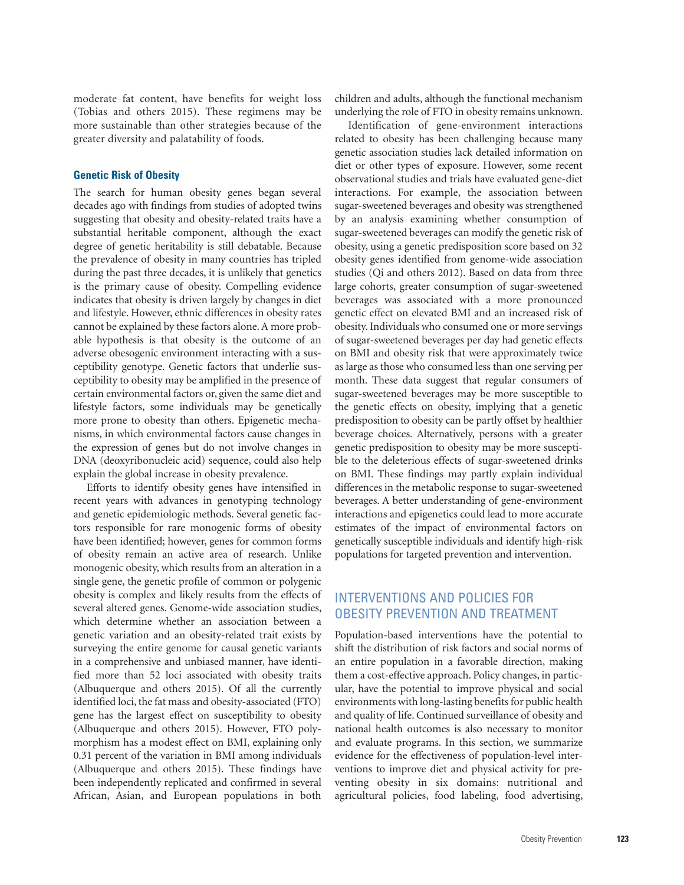moderate fat content, have benefits for weight loss (Tobias and others 2015). These regimens may be more sustainable than other strategies because of the greater diversity and palatability of foods.

# **Genetic Risk of Obesity**

The search for human obesity genes began several decades ago with findings from studies of adopted twins suggesting that obesity and obesity-related traits have a substantial heritable component, although the exact degree of genetic heritability is still debatable. Because the prevalence of obesity in many countries has tripled during the past three decades, it is unlikely that genetics is the primary cause of obesity. Compelling evidence indicates that obesity is driven largely by changes in diet and lifestyle. However, ethnic differences in obesity rates cannot be explained by these factors alone. A more probable hypothesis is that obesity is the outcome of an adverse obesogenic environment interacting with a susceptibility genotype. Genetic factors that underlie susceptibility to obesity may be amplified in the presence of certain environmental factors or, given the same diet and lifestyle factors, some individuals may be genetically more prone to obesity than others. Epigenetic mechanisms, in which environmental factors cause changes in the expression of genes but do not involve changes in DNA (deoxyribonucleic acid) sequence, could also help explain the global increase in obesity prevalence.

Efforts to identify obesity genes have intensified in recent years with advances in genotyping technology and genetic epidemiologic methods. Several genetic factors responsible for rare monogenic forms of obesity have been identified; however, genes for common forms of obesity remain an active area of research. Unlike monogenic obesity, which results from an alteration in a single gene, the genetic profile of common or polygenic obesity is complex and likely results from the effects of several altered genes. Genome-wide association studies, which determine whether an association between a genetic variation and an obesity-related trait exists by surveying the entire genome for causal genetic variants in a comprehensive and unbiased manner, have identified more than 52 loci associated with obesity traits (Albuquerque and others 2015). Of all the currently identified loci, the fat mass and obesity-associated (FTO) gene has the largest effect on susceptibility to obesity (Albuquerque and others 2015). However, FTO polymorphism has a modest effect on BMI, explaining only 0.31 percent of the variation in BMI among individuals (Albuquerque and others 2015). These findings have been independently replicated and confirmed in several African, Asian, and European populations in both

children and adults, although the functional mechanism underlying the role of FTO in obesity remains unknown.

Identification of gene-environment interactions related to obesity has been challenging because many genetic association studies lack detailed information on diet or other types of exposure. However, some recent observational studies and trials have evaluated gene-diet interactions. For example, the association between sugar-sweetened beverages and obesity was strengthened by an analysis examining whether consumption of sugar-sweetened beverages can modify the genetic risk of obesity, using a genetic predisposition score based on 32 obesity genes identified from genome-wide association studies (Qi and others 2012). Based on data from three large cohorts, greater consumption of sugar-sweetened beverages was associated with a more pronounced genetic effect on elevated BMI and an increased risk of obesity. Individuals who consumed one or more servings of sugar-sweetened beverages per day had genetic effects on BMI and obesity risk that were approximately twice as large as those who consumed less than one serving per month. These data suggest that regular consumers of sugar-sweetened beverages may be more susceptible to the genetic effects on obesity, implying that a genetic predisposition to obesity can be partly offset by healthier beverage choices. Alternatively, persons with a greater genetic predisposition to obesity may be more susceptible to the deleterious effects of sugar-sweetened drinks on BMI. These findings may partly explain individual differences in the metabolic response to sugar-sweetened beverages. A better understanding of gene-environment interactions and epigenetics could lead to more accurate estimates of the impact of environmental factors on genetically susceptible individuals and identify high-risk populations for targeted prevention and intervention.

# INTERVENTIONS AND POLICIES FOR OBESITY PREVENTION AND TREATMENT

Population-based interventions have the potential to shift the distribution of risk factors and social norms of an entire population in a favorable direction, making them a cost-effective approach. Policy changes, in particular, have the potential to improve physical and social environments with long-lasting benefits for public health and quality of life. Continued surveillance of obesity and national health outcomes is also necessary to monitor and evaluate programs. In this section, we summarize evidence for the effectiveness of population-level interventions to improve diet and physical activity for preventing obesity in six domains: nutritional and agricultural policies, food labeling, food advertising,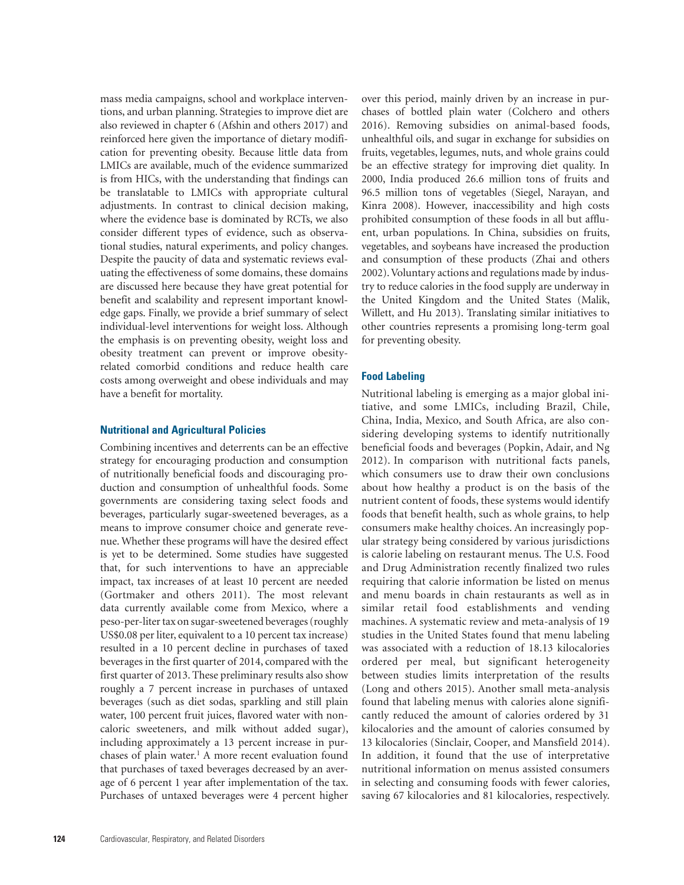mass media campaigns, school and workplace interventions, and urban planning. Strategies to improve diet are also reviewed in chapter 6 (Afshin and others 2017) and reinforced here given the importance of dietary modification for preventing obesity. Because little data from LMICs are available, much of the evidence summarized is from HICs, with the understanding that findings can be translatable to LMICs with appropriate cultural adjustments. In contrast to clinical decision making, where the evidence base is dominated by RCTs, we also consider different types of evidence, such as observational studies, natural experiments, and policy changes. Despite the paucity of data and systematic reviews evaluating the effectiveness of some domains, these domains are discussed here because they have great potential for benefit and scalability and represent important knowledge gaps. Finally, we provide a brief summary of select individual-level interventions for weight loss. Although the emphasis is on preventing obesity, weight loss and obesity treatment can prevent or improve obesityrelated comorbid conditions and reduce health care costs among overweight and obese individuals and may have a benefit for mortality.

### **Nutritional and Agricultural Policies**

Combining incentives and deterrents can be an effective strategy for encouraging production and consumption of nutritionally beneficial foods and discouraging production and consumption of unhealthful foods. Some governments are considering taxing select foods and beverages, particularly sugar-sweetened beverages, as a means to improve consumer choice and generate revenue. Whether these programs will have the desired effect is yet to be determined. Some studies have suggested that, for such interventions to have an appreciable impact, tax increases of at least 10 percent are needed (Gortmaker and others 2011). The most relevant data currently available come from Mexico, where a peso-per-liter tax on sugar-sweetened beverages (roughly US\$0.08 per liter, equivalent to a 10 percent tax increase) resulted in a 10 percent decline in purchases of taxed beverages in the first quarter of 2014, compared with the first quarter of 2013. These preliminary results also show roughly a 7 percent increase in purchases of untaxed beverages (such as diet sodas, sparkling and still plain water, 100 percent fruit juices, flavored water with noncaloric sweeteners, and milk without added sugar), including approximately a 13 percent increase in purchases of plain water.<sup>1</sup> A more recent evaluation found that purchases of taxed beverages decreased by an average of 6 percent 1 year after implementation of the tax. Purchases of untaxed beverages were 4 percent higher

over this period, mainly driven by an increase in purchases of bottled plain water (Colchero and others 2016). Removing subsidies on animal-based foods, unhealthful oils, and sugar in exchange for subsidies on fruits, vegetables, legumes, nuts, and whole grains could be an effective strategy for improving diet quality. In 2000, India produced 26.6 million tons of fruits and 96.5 million tons of vegetables (Siegel, Narayan, and Kinra 2008). However, inaccessibility and high costs prohibited consumption of these foods in all but affluent, urban populations. In China, subsidies on fruits, vegetables, and soybeans have increased the production and consumption of these products (Zhai and others 2002). Voluntary actions and regulations made by industry to reduce calories in the food supply are underway in the United Kingdom and the United States (Malik, Willett, and Hu 2013). Translating similar initiatives to other countries represents a promising long-term goal for preventing obesity.

# **Food Labeling**

Nutritional labeling is emerging as a major global initiative, and some LMICs, including Brazil, Chile, China, India, Mexico, and South Africa, are also considering developing systems to identify nutritionally beneficial foods and beverages (Popkin, Adair, and Ng 2012). In comparison with nutritional facts panels, which consumers use to draw their own conclusions about how healthy a product is on the basis of the nutrient content of foods, these systems would identify foods that benefit health, such as whole grains, to help consumers make healthy choices. An increasingly popular strategy being considered by various jurisdictions is calorie labeling on restaurant menus. The U.S. Food and Drug Administration recently finalized two rules requiring that calorie information be listed on menus and menu boards in chain restaurants as well as in similar retail food establishments and vending machines. A systematic review and meta-analysis of 19 studies in the United States found that menu labeling was associated with a reduction of 18.13 kilocalories ordered per meal, but significant heterogeneity between studies limits interpretation of the results (Long and others 2015). Another small meta-analysis found that labeling menus with calories alone significantly reduced the amount of calories ordered by 31 kilocalories and the amount of calories consumed by 13 kilocalories (Sinclair, Cooper, and Mansfield 2014). In addition, it found that the use of interpretative nutritional information on menus assisted consumers in selecting and consuming foods with fewer calories, saving 67 kilocalories and 81 kilocalories, respectively.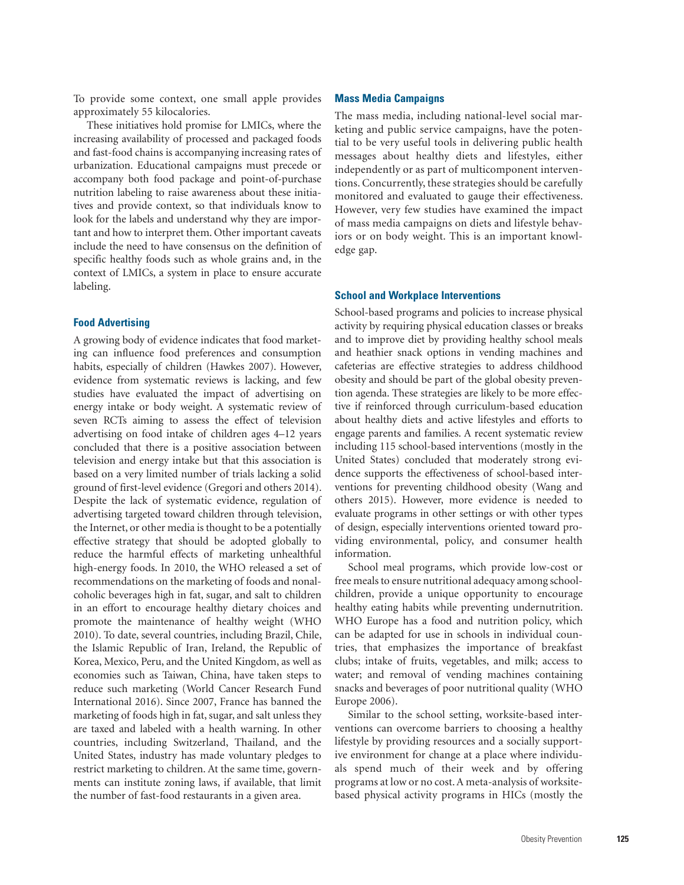To provide some context, one small apple provides approximately 55 kilocalories.

These initiatives hold promise for LMICs, where the increasing availability of processed and packaged foods and fast-food chains is accompanying increasing rates of urbanization. Educational campaigns must precede or accompany both food package and point-of-purchase nutrition labeling to raise awareness about these initiatives and provide context, so that individuals know to look for the labels and understand why they are important and how to interpret them. Other important caveats include the need to have consensus on the definition of specific healthy foods such as whole grains and, in the context of LMICs, a system in place to ensure accurate labeling.

# **Food Advertising**

A growing body of evidence indicates that food marketing can influence food preferences and consumption habits, especially of children (Hawkes 2007). However, evidence from systematic reviews is lacking, and few studies have evaluated the impact of advertising on energy intake or body weight. A systematic review of seven RCTs aiming to assess the effect of television advertising on food intake of children ages 4–12 years concluded that there is a positive association between television and energy intake but that this association is based on a very limited number of trials lacking a solid ground of first-level evidence (Gregori and others 2014). Despite the lack of systematic evidence, regulation of advertising targeted toward children through television, the Internet, or other media is thought to be a potentially effective strategy that should be adopted globally to reduce the harmful effects of marketing unhealthful high-energy foods. In 2010, the WHO released a set of recommendations on the marketing of foods and nonalcoholic beverages high in fat, sugar, and salt to children in an effort to encourage healthy dietary choices and promote the maintenance of healthy weight (WHO 2010). To date, several countries, including Brazil, Chile, the Islamic Republic of Iran, Ireland, the Republic of Korea, Mexico, Peru, and the United Kingdom, as well as economies such as Taiwan, China, have taken steps to reduce such marketing (World Cancer Research Fund International 2016). Since 2007, France has banned the marketing of foods high in fat, sugar, and salt unless they are taxed and labeled with a health warning. In other countries, including Switzerland, Thailand, and the United States, industry has made voluntary pledges to restrict marketing to children. At the same time, governments can institute zoning laws, if available, that limit the number of fast-food restaurants in a given area.

#### **Mass Media Campaigns**

The mass media, including national-level social marketing and public service campaigns, have the potential to be very useful tools in delivering public health messages about healthy diets and lifestyles, either independently or as part of multicomponent interventions. Concurrently, these strategies should be carefully monitored and evaluated to gauge their effectiveness. However, very few studies have examined the impact of mass media campaigns on diets and lifestyle behaviors or on body weight. This is an important knowledge gap.

#### **School and Workplace Interventions**

School-based programs and policies to increase physical activity by requiring physical education classes or breaks and to improve diet by providing healthy school meals and heathier snack options in vending machines and cafeterias are effective strategies to address childhood obesity and should be part of the global obesity prevention agenda. These strategies are likely to be more effective if reinforced through curriculum-based education about healthy diets and active lifestyles and efforts to engage parents and families. A recent systematic review including 115 school-based interventions (mostly in the United States) concluded that moderately strong evidence supports the effectiveness of school-based interventions for preventing childhood obesity (Wang and others 2015). However, more evidence is needed to evaluate programs in other settings or with other types of design, especially interventions oriented toward providing environmental, policy, and consumer health information.

School meal programs, which provide low-cost or free meals to ensure nutritional adequacy among schoolchildren, provide a unique opportunity to encourage healthy eating habits while preventing undernutrition. WHO Europe has a food and nutrition policy, which can be adapted for use in schools in individual countries, that emphasizes the importance of breakfast clubs; intake of fruits, vegetables, and milk; access to water; and removal of vending machines containing snacks and beverages of poor nutritional quality (WHO Europe 2006).

Similar to the school setting, worksite-based interventions can overcome barriers to choosing a healthy lifestyle by providing resources and a socially supportive environment for change at a place where individuals spend much of their week and by offering programs at low or no cost. A meta-analysis of worksitebased physical activity programs in HICs (mostly the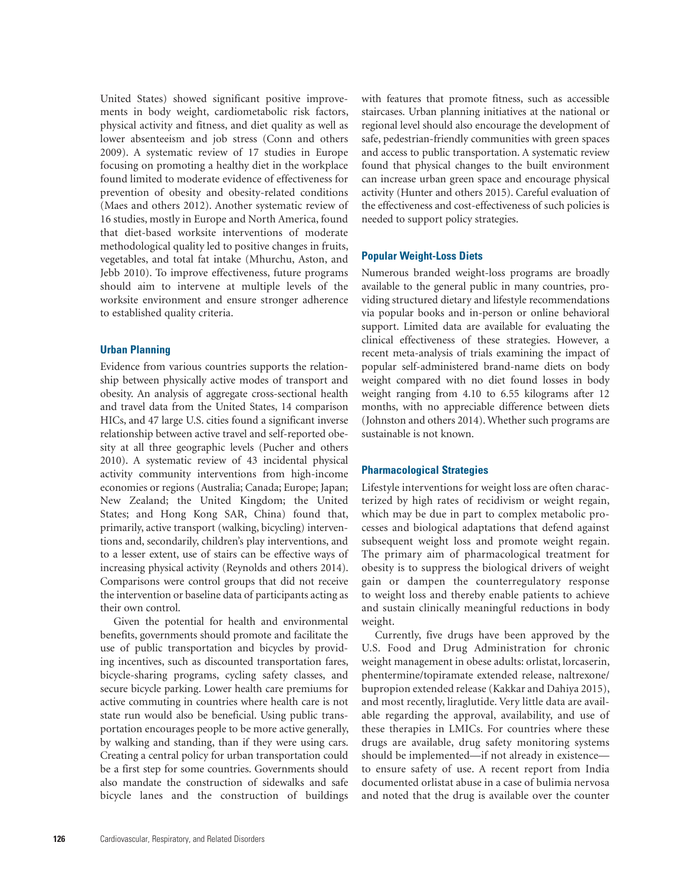United States) showed significant positive improvements in body weight, cardiometabolic risk factors, physical activity and fitness, and diet quality as well as lower absenteeism and job stress (Conn and others 2009). A systematic review of 17 studies in Europe focusing on promoting a healthy diet in the workplace found limited to moderate evidence of effectiveness for prevention of obesity and obesity-related conditions (Maes and others 2012). Another systematic review of 16 studies, mostly in Europe and North America, found that diet-based worksite interventions of moderate methodological quality led to positive changes in fruits, vegetables, and total fat intake (Mhurchu, Aston, and Jebb 2010). To improve effectiveness, future programs should aim to intervene at multiple levels of the worksite environment and ensure stronger adherence to established quality criteria.

# **Urban Planning**

Evidence from various countries supports the relationship between physically active modes of transport and obesity. An analysis of aggregate cross-sectional health and travel data from the United States, 14 comparison HICs, and 47 large U.S. cities found a significant inverse relationship between active travel and self-reported obesity at all three geographic levels (Pucher and others 2010). A systematic review of 43 incidental physical activity community interventions from high-income economies or regions (Australia; Canada; Europe; Japan; New Zealand; the United Kingdom; the United States; and Hong Kong SAR, China) found that, primarily, active transport (walking, bicycling) interventions and, secondarily, children's play interventions, and to a lesser extent, use of stairs can be effective ways of increasing physical activity (Reynolds and others 2014). Comparisons were control groups that did not receive the intervention or baseline data of participants acting as their own control.

Given the potential for health and environmental benefits, governments should promote and facilitate the use of public transportation and bicycles by providing incentives, such as discounted transportation fares, bicycle-sharing programs, cycling safety classes, and secure bicycle parking. Lower health care premiums for active commuting in countries where health care is not state run would also be beneficial. Using public transportation encourages people to be more active generally, by walking and standing, than if they were using cars. Creating a central policy for urban transportation could be a first step for some countries. Governments should also mandate the construction of sidewalks and safe bicycle lanes and the construction of buildings

with features that promote fitness, such as accessible staircases. Urban planning initiatives at the national or regional level should also encourage the development of safe, pedestrian-friendly communities with green spaces and access to public transportation. A systematic review found that physical changes to the built environment can increase urban green space and encourage physical activity (Hunter and others 2015). Careful evaluation of the effectiveness and cost-effectiveness of such policies is needed to support policy strategies.

# **Popular Weight-Loss Diets**

Numerous branded weight-loss programs are broadly available to the general public in many countries, providing structured dietary and lifestyle recommendations via popular books and in-person or online behavioral support. Limited data are available for evaluating the clinical effectiveness of these strategies. However, a recent meta-analysis of trials examining the impact of popular self-administered brand-name diets on body weight compared with no diet found losses in body weight ranging from 4.10 to 6.55 kilograms after 12 months, with no appreciable difference between diets (Johnston and others 2014). Whether such programs are sustainable is not known.

# **Pharmacological Strategies**

Lifestyle interventions for weight loss are often characterized by high rates of recidivism or weight regain, which may be due in part to complex metabolic processes and biological adaptations that defend against subsequent weight loss and promote weight regain. The primary aim of pharmacological treatment for obesity is to suppress the biological drivers of weight gain or dampen the counterregulatory response to weight loss and thereby enable patients to achieve and sustain clinically meaningful reductions in body weight.

Currently, five drugs have been approved by the U.S. Food and Drug Administration for chronic weight management in obese adults: orlistat, lorcaserin, phentermine/topiramate extended release, naltrexone/ bupropion extended release (Kakkar and Dahiya 2015), and most recently, liraglutide. Very little data are available regarding the approval, availability, and use of these therapies in LMICs. For countries where these drugs are available, drug safety monitoring systems should be implemented—if not already in existence to ensure safety of use. A recent report from India documented orlistat abuse in a case of bulimia nervosa and noted that the drug is available over the counter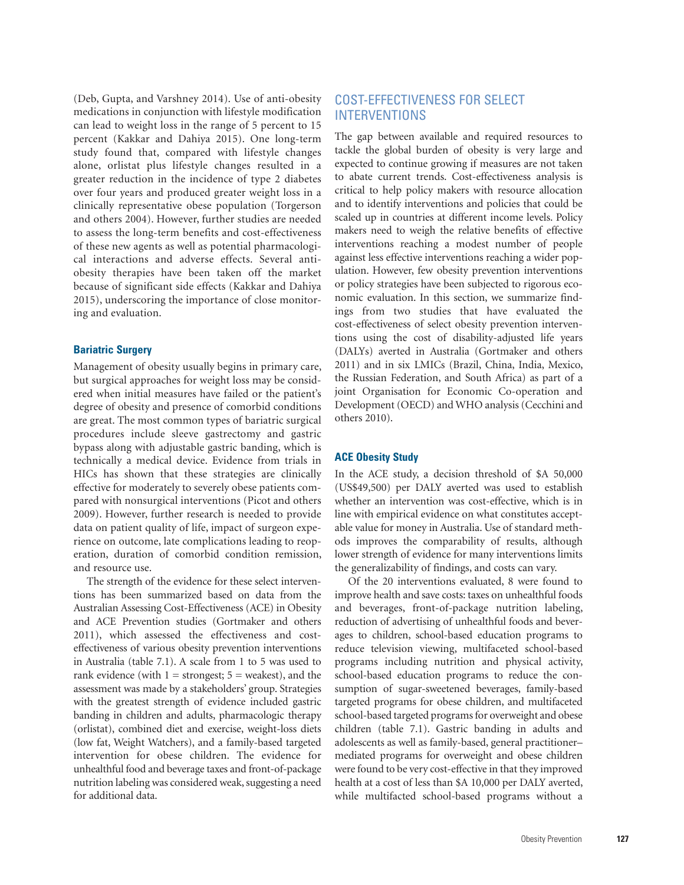(Deb, Gupta, and Varshney 2014). Use of anti-obesity medications in conjunction with lifestyle modification can lead to weight loss in the range of 5 percent to 15 percent (Kakkar and Dahiya 2015). One long-term study found that, compared with lifestyle changes alone, orlistat plus lifestyle changes resulted in a greater reduction in the incidence of type 2 diabetes over four years and produced greater weight loss in a clinically representative obese population (Torgerson and others 2004). However, further studies are needed to assess the long-term benefits and cost-effectiveness of these new agents as well as potential pharmacological interactions and adverse effects. Several antiobesity therapies have been taken off the market because of significant side effects (Kakkar and Dahiya 2015), underscoring the importance of close monitoring and evaluation.

# **Bariatric Surgery**

Management of obesity usually begins in primary care, but surgical approaches for weight loss may be considered when initial measures have failed or the patient's degree of obesity and presence of comorbid conditions are great. The most common types of bariatric surgical procedures include sleeve gastrectomy and gastric bypass along with adjustable gastric banding, which is technically a medical device. Evidence from trials in HICs has shown that these strategies are clinically effective for moderately to severely obese patients compared with nonsurgical interventions (Picot and others 2009). However, further research is needed to provide data on patient quality of life, impact of surgeon experience on outcome, late complications leading to reoperation, duration of comorbid condition remission, and resource use.

The strength of the evidence for these select interventions has been summarized based on data from the Australian Assessing Cost-Effectiveness (ACE) in Obesity and ACE Prevention studies (Gortmaker and others 2011), which assessed the effectiveness and costeffectiveness of various obesity prevention interventions in Australia (table 7.1). A scale from 1 to 5 was used to rank evidence (with  $1 =$  strongest;  $5 =$  weakest), and the assessment was made by a stakeholders' group. Strategies with the greatest strength of evidence included gastric banding in children and adults, pharmacologic therapy (orlistat), combined diet and exercise, weight-loss diets (low fat, Weight Watchers), and a family-based targeted intervention for obese children. The evidence for unhealthful food and beverage taxes and front-of- package nutrition labeling was considered weak, suggesting a need for additional data.

# COST-EFFECTIVENESS FOR SELECT INTERVENTIONS

The gap between available and required resources to tackle the global burden of obesity is very large and expected to continue growing if measures are not taken to abate current trends. Cost-effectiveness analysis is critical to help policy makers with resource allocation and to identify interventions and policies that could be scaled up in countries at different income levels. Policy makers need to weigh the relative benefits of effective interventions reaching a modest number of people against less effective interventions reaching a wider population. However, few obesity prevention interventions or policy strategies have been subjected to rigorous economic evaluation. In this section, we summarize findings from two studies that have evaluated the cost-effectiveness of select obesity prevention interventions using the cost of disability-adjusted life years (DALYs) averted in Australia (Gortmaker and others 2011) and in six LMICs (Brazil, China, India, Mexico, the Russian Federation, and South Africa) as part of a joint Organisation for Economic Co-operation and Development (OECD) and WHO analysis (Cecchini and others 2010).

### **ACE Obesity Study**

In the ACE study, a decision threshold of \$A 50,000 (US\$49,500) per DALY averted was used to establish whether an intervention was cost-effective, which is in line with empirical evidence on what constitutes acceptable value for money in Australia. Use of standard methods improves the comparability of results, although lower strength of evidence for many interventions limits the generalizability of findings, and costs can vary.

Of the 20 interventions evaluated, 8 were found to improve health and save costs: taxes on unhealthful foods and beverages, front-of-package nutrition labeling, reduction of advertising of unhealthful foods and beverages to children, school-based education programs to reduce television viewing, multifaceted school-based programs including nutrition and physical activity, school-based education programs to reduce the consumption of sugar-sweetened beverages, family-based targeted programs for obese children, and multifaceted school-based targeted programs for overweight and obese children (table 7.1). Gastric banding in adults and adolescents as well as family-based, general practitioner– mediated programs for overweight and obese children were found to be very cost-effective in that they improved health at a cost of less than \$A 10,000 per DALY averted, while multifacted school-based programs without a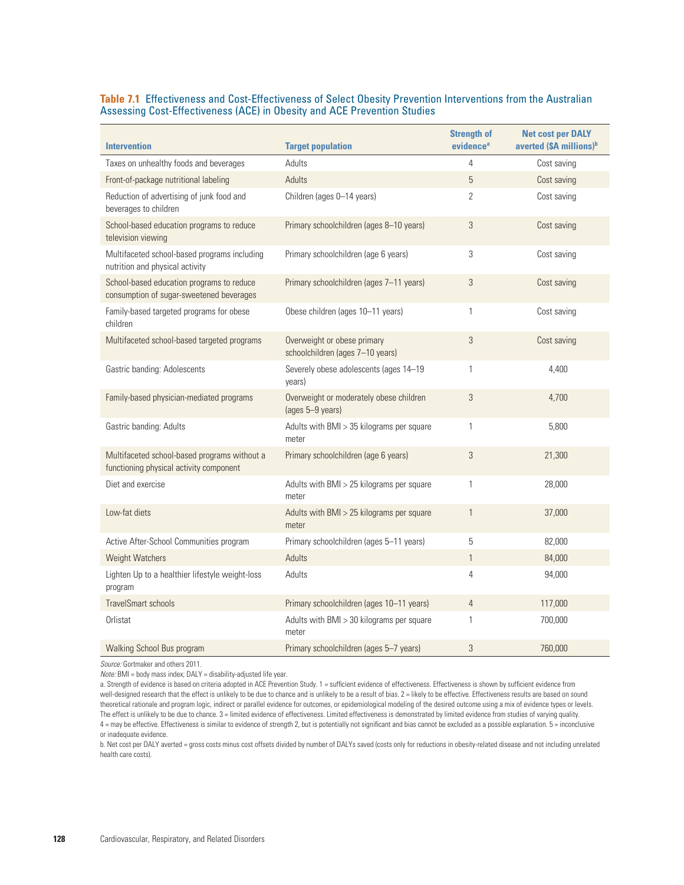|  | Table 7.1 Effectiveness and Cost-Effectiveness of Select Obesity Prevention Interventions from the Australian |  |  |  |
|--|---------------------------------------------------------------------------------------------------------------|--|--|--|
|  | Assessing Cost-Effectiveness (ACE) in Obesity and ACE Prevention Studies                                      |  |  |  |

| <b>Intervention</b>                                                                     | <b>Target population</b>                                        | <b>Strength of</b><br>evidence <sup>a</sup> | <b>Net cost per DALY</b><br>averted (\$A millions) <sup>b</sup> |
|-----------------------------------------------------------------------------------------|-----------------------------------------------------------------|---------------------------------------------|-----------------------------------------------------------------|
| Taxes on unhealthy foods and beverages                                                  | Adults                                                          | 4                                           | Cost saving                                                     |
| Front-of-package nutritional labeling                                                   | <b>Adults</b>                                                   | 5                                           | Cost saving                                                     |
| Reduction of advertising of junk food and<br>beverages to children                      | Children (ages 0-14 years)                                      | $\overline{2}$                              | Cost saving                                                     |
| School-based education programs to reduce<br>television viewing                         | Primary schoolchildren (ages 8-10 years)                        | 3                                           | Cost saving                                                     |
| Multifaceted school-based programs including<br>nutrition and physical activity         | Primary schoolchildren (age 6 years)                            | 3                                           | Cost saving                                                     |
| School-based education programs to reduce<br>consumption of sugar-sweetened beverages   | Primary schoolchildren (ages 7-11 years)                        | 3                                           | Cost saving                                                     |
| Family-based targeted programs for obese<br>children                                    | Obese children (ages 10-11 years)                               | 1                                           | Cost saving                                                     |
| Multifaceted school-based targeted programs                                             | Overweight or obese primary<br>schoolchildren (ages 7-10 years) | 3                                           | Cost saving                                                     |
| Gastric banding: Adolescents                                                            | Severely obese adolescents (ages 14-19<br>years)                | $\mathbf{1}$                                | 4,400                                                           |
| Family-based physician-mediated programs                                                | Overweight or moderately obese children<br>(ages 5-9 years)     | 3                                           | 4,700                                                           |
| Gastric banding: Adults                                                                 | Adults with BMI > 35 kilograms per square<br>meter              | $\mathbf{1}$                                | 5,800                                                           |
| Multifaceted school-based programs without a<br>functioning physical activity component | Primary schoolchildren (age 6 years)                            | 3                                           | 21,300                                                          |
| Diet and exercise                                                                       | Adults with BMI > 25 kilograms per square<br>meter              | $\mathbf{1}$                                | 28,000                                                          |
| Low-fat diets                                                                           | Adults with BMI > 25 kilograms per square<br>meter              | $\mathbf{1}$                                | 37,000                                                          |
| Active After-School Communities program                                                 | Primary schoolchildren (ages 5-11 years)                        | 5                                           | 82,000                                                          |
| Weight Watchers                                                                         | Adults                                                          | $\mathbf{1}$                                | 84,000                                                          |
| Lighten Up to a healthier lifestyle weight-loss<br>program                              | Adults                                                          | 4                                           | 94,000                                                          |
| <b>TravelSmart schools</b>                                                              | Primary schoolchildren (ages 10-11 years)                       | $\overline{4}$                              | 117,000                                                         |
| Orlistat                                                                                | Adults with BMI > 30 kilograms per square<br>meter              | 1                                           | 700,000                                                         |
| Walking School Bus program                                                              | Primary schoolchildren (ages 5-7 years)                         | 3                                           | 760,000                                                         |

Source: Gortmaker and others 2011.

 $Note:$  BMI = body mass index;  $DALY =$  disability-adjusted life year.

a. Strength of evidence is based on criteria adopted in ACE Prevention Study. 1 = sufficient evidence of effectiveness. Effectiveness is shown by sufficient evidence from well-designed research that the effect is unlikely to be due to chance and is unlikely to be a result of bias. 2 = likely to be effective. Effectiveness results are based on sound theoretical rationale and program logic, indirect or parallel evidence for outcomes, or epidemiological modeling of the desired outcome using a mix of evidence types or levels. The effect is unlikely to be due to chance. 3 = limited evidence of effectiveness. Limited effectiveness is demonstrated by limited evidence from studies of varying quality. 4 = may be effective. Effectiveness is similar to evidence of strength 2, but is potentially not significant and bias cannot be excluded as a possible explanation.  $5 =$  inconclusive or inadequate evidence.

b. Net cost per DALY averted = gross costs minus cost offsets divided by number of DALYs saved (costs only for reductions in obesity-related disease and not including unrelated health care costs).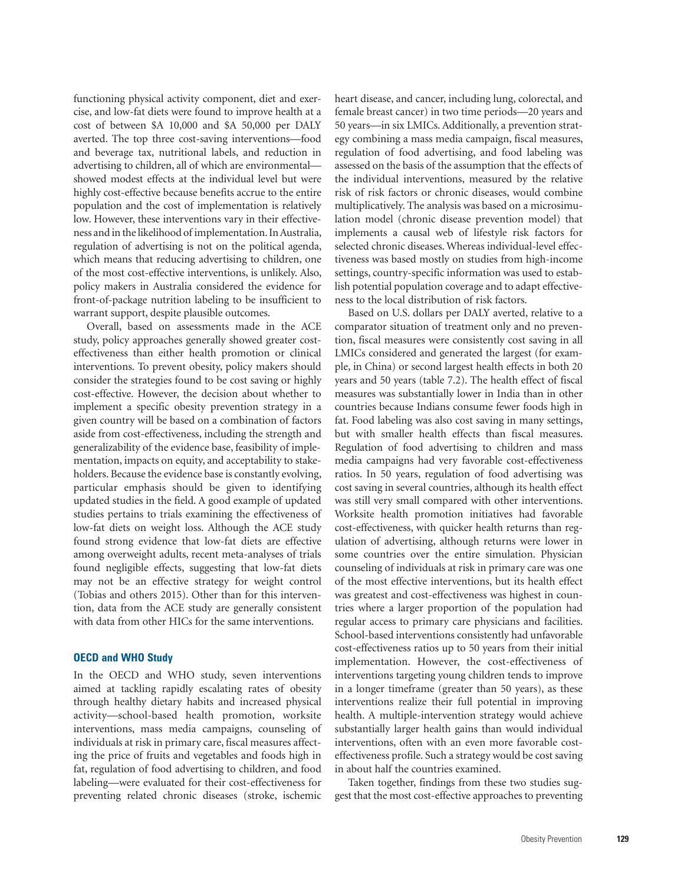functioning physical activity component, diet and exercise, and low-fat diets were found to improve health at a cost of between \$A 10,000 and \$A 50,000 per DALY averted. The top three cost-saving interventions—food and beverage tax, nutritional labels, and reduction in advertising to children, all of which are environmental showed modest effects at the individual level but were highly cost-effective because benefits accrue to the entire population and the cost of implementation is relatively low. However, these interventions vary in their effectiveness and in the likelihood of implementation. In Australia, regulation of advertising is not on the political agenda, which means that reducing advertising to children, one of the most cost- effective interventions, is unlikely. Also, policy makers in Australia considered the evidence for front-of-package nutrition labeling to be insufficient to warrant support, despite plausible outcomes.

Overall, based on assessments made in the ACE study, policy approaches generally showed greater costeffectiveness than either health promotion or clinical interventions. To prevent obesity, policy makers should consider the strategies found to be cost saving or highly cost-effective. However, the decision about whether to implement a specific obesity prevention strategy in a given country will be based on a combination of factors aside from cost-effectiveness, including the strength and generalizability of the evidence base, feasibility of implementation, impacts on equity, and acceptability to stakeholders. Because the evidence base is constantly evolving, particular emphasis should be given to identifying updated studies in the field. A good example of updated studies pertains to trials examining the effectiveness of low-fat diets on weight loss. Although the ACE study found strong evidence that low-fat diets are effective among overweight adults, recent meta-analyses of trials found negligible effects, suggesting that low-fat diets may not be an effective strategy for weight control (Tobias and others 2015). Other than for this intervention, data from the ACE study are generally consistent with data from other HICs for the same interventions.

# **OECD and WHO Study**

In the OECD and WHO study, seven interventions aimed at tackling rapidly escalating rates of obesity through healthy dietary habits and increased physical activity—school-based health promotion, worksite interventions, mass media campaigns, counseling of individuals at risk in primary care, fiscal measures affecting the price of fruits and vegetables and foods high in fat, regulation of food advertising to children, and food labeling—were evaluated for their cost-effectiveness for preventing related chronic diseases (stroke, ischemic

heart disease, and cancer, including lung, colorectal, and female breast cancer) in two time periods—20 years and 50 years—in six LMICs. Additionally, a prevention strategy combining a mass media campaign, fiscal measures, regulation of food advertising, and food labeling was assessed on the basis of the assumption that the effects of the individual interventions, measured by the relative risk of risk factors or chronic diseases, would combine multiplicatively. The analysis was based on a microsimulation model (chronic disease prevention model) that implements a causal web of lifestyle risk factors for selected chronic diseases. Whereas individual-level effectiveness was based mostly on studies from high-income settings, country-specific information was used to establish potential population coverage and to adapt effectiveness to the local distribution of risk factors.

Based on U.S. dollars per DALY averted, relative to a comparator situation of treatment only and no prevention, fiscal measures were consistently cost saving in all LMICs considered and generated the largest (for example, in China) or second largest health effects in both 20 years and 50 years (table 7.2). The health effect of fiscal measures was substantially lower in India than in other countries because Indians consume fewer foods high in fat. Food labeling was also cost saving in many settings, but with smaller health effects than fiscal measures. Regulation of food advertising to children and mass media campaigns had very favorable cost-effectiveness ratios. In 50 years, regulation of food advertising was cost saving in several countries, although its health effect was still very small compared with other interventions. Worksite health promotion initiatives had favorable cost-effectiveness, with quicker health returns than regulation of advertising, although returns were lower in some countries over the entire simulation. Physician counseling of individuals at risk in primary care was one of the most effective interventions, but its health effect was greatest and cost-effectiveness was highest in countries where a larger proportion of the population had regular access to primary care physicians and facilities. School-based interventions consistently had unfavorable cost-effectiveness ratios up to 50 years from their initial implementation. However, the cost-effectiveness of interventions targeting young children tends to improve in a longer timeframe (greater than 50 years), as these interventions realize their full potential in improving health. A multiple-intervention strategy would achieve substantially larger health gains than would individual interventions, often with an even more favorable costeffectiveness profile. Such a strategy would be cost saving in about half the countries examined.

Taken together, findings from these two studies suggest that the most cost-effective approaches to preventing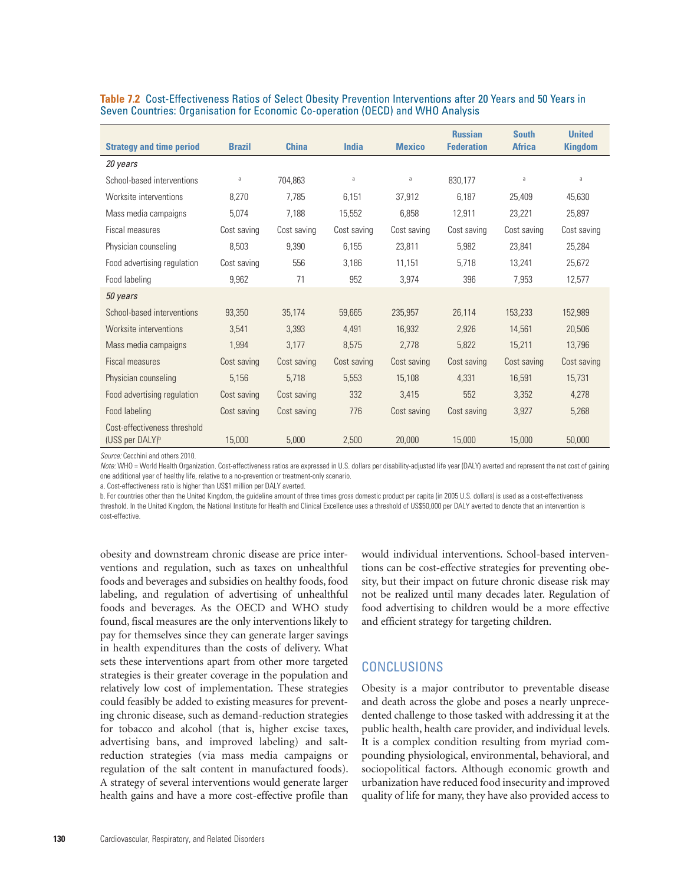|                                                              |               |              |              |               | <b>Russian</b>    | <b>South</b>  | <b>United</b>  |
|--------------------------------------------------------------|---------------|--------------|--------------|---------------|-------------------|---------------|----------------|
| <b>Strategy and time period</b>                              | <b>Brazil</b> | <b>China</b> | <b>India</b> | <b>Mexico</b> | <b>Federation</b> | <b>Africa</b> | <b>Kingdom</b> |
| 20 years                                                     |               |              |              |               |                   |               |                |
| School-based interventions                                   | a             | 704.863      | a            | a             | 830.177           | a             | a              |
| Worksite interventions                                       | 8.270         | 7.785        | 6,151        | 37,912        | 6,187             | 25,409        | 45,630         |
| Mass media campaigns                                         | 5.074         | 7.188        | 15.552       | 6.858         | 12.911            | 23,221        | 25.897         |
| Fiscal measures                                              | Cost saving   | Cost saving  | Cost saving  | Cost saving   | Cost saving       | Cost saving   | Cost saving    |
| Physician counseling                                         | 8.503         | 9.390        | 6.155        | 23.811        | 5.982             | 23.841        | 25.284         |
| Food advertising regulation                                  | Cost saving   | 556          | 3.186        | 11,151        | 5.718             | 13,241        | 25.672         |
| Food labeling                                                | 9.962         | 71           | 952          | 3.974         | 396               | 7.953         | 12,577         |
| 50 years                                                     |               |              |              |               |                   |               |                |
| School-based interventions                                   | 93,350        | 35,174       | 59,665       | 235,957       | 26,114            | 153,233       | 152,989        |
| Worksite interventions                                       | 3,541         | 3,393        | 4,491        | 16,932        | 2,926             | 14,561        | 20,506         |
| Mass media campaigns                                         | 1,994         | 3,177        | 8,575        | 2.778         | 5,822             | 15,211        | 13,796         |
| Fiscal measures                                              | Cost saving   | Cost saving  | Cost saving  | Cost saving   | Cost saving       | Cost saving   | Cost saving    |
| Physician counseling                                         | 5.156         | 5.718        | 5.553        | 15,108        | 4.331             | 16.591        | 15,731         |
| Food advertising regulation                                  | Cost saving   | Cost saving  | 332          | 3.415         | 552               | 3.352         | 4.278          |
| Food labeling                                                | Cost saving   | Cost saving  | 776          | Cost saving   | Cost saving       | 3.927         | 5.268          |
| Cost-effectiveness threshold<br>(US\$ per DALY) <sup>b</sup> | 15,000        | 5.000        | 2.500        | 20,000        | 15,000            | 15,000        | 50,000         |

**Table 7.2** Cost-Effectiveness Ratios of Select Obesity Prevention Interventions after 20 Years and 50 Years in Seven Countries: Organisation for Economic Co-operation (OECD) and WHO Analysis

Source: Cecchini and others 2010.

Note: WHO = World Health Organization. Cost-effectiveness ratios are expressed in U.S. dollars per disability-adjusted life year (DALY) averted and represent the net cost of gaining one additional year of healthy life, relative to a no-prevention or treatment-only scenario.

a. Cost-effectiveness ratio is higher than US\$1 million per DALY averted.

b. For countries other than the United Kingdom, the guideline amount of three times gross domestic product per capita (in 2005 U.S. dollars) is used as a cost-effectiveness threshold. In the United Kingdom, the National Institute for Health and Clinical Excellence uses a threshold of US\$50,000 per DALY averted to denote that an intervention is cost-effective.

obesity and downstream chronic disease are price interventions and regulation, such as taxes on unhealthful foods and beverages and subsidies on healthy foods, food labeling, and regulation of advertising of unhealthful foods and beverages. As the OECD and WHO study found, fiscal measures are the only interventions likely to pay for themselves since they can generate larger savings in health expenditures than the costs of delivery. What sets these interventions apart from other more targeted strategies is their greater coverage in the population and relatively low cost of implementation. These strategies could feasibly be added to existing measures for preventing chronic disease, such as demand-reduction strategies for tobacco and alcohol (that is, higher excise taxes, advertising bans, and improved labeling) and saltreduction strategies (via mass media campaigns or regulation of the salt content in manufactured foods). A strategy of several interventions would generate larger health gains and have a more cost-effective profile than

would individual interventions. School-based interventions can be cost-effective strategies for preventing obesity, but their impact on future chronic disease risk may not be realized until many decades later. Regulation of food advertising to children would be a more effective and efficient strategy for targeting children.

# **CONCLUSIONS**

Obesity is a major contributor to preventable disease and death across the globe and poses a nearly unprecedented challenge to those tasked with addressing it at the public health, health care provider, and individual levels. It is a complex condition resulting from myriad compounding physiological, environmental, behavioral, and sociopolitical factors. Although economic growth and urbanization have reduced food insecurity and improved quality of life for many, they have also provided access to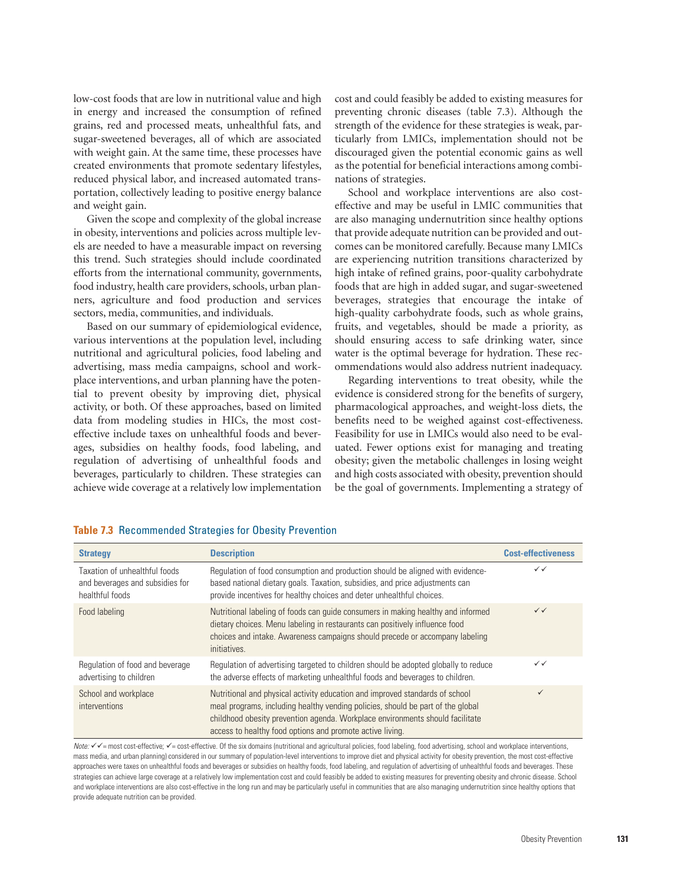low-cost foods that are low in nutritional value and high in energy and increased the consumption of refined grains, red and processed meats, unhealthful fats, and sugar-sweetened beverages, all of which are associated with weight gain. At the same time, these processes have created environments that promote sedentary lifestyles, reduced physical labor, and increased automated transportation, collectively leading to positive energy balance and weight gain.

Given the scope and complexity of the global increase in obesity, interventions and policies across multiple levels are needed to have a measurable impact on reversing this trend. Such strategies should include coordinated efforts from the international community, governments, food industry, health care providers, schools, urban planners, agriculture and food production and services sectors, media, communities, and individuals.

Based on our summary of epidemiological evidence, various interventions at the population level, including nutritional and agricultural policies, food labeling and advertising, mass media campaigns, school and workplace interventions, and urban planning have the potential to prevent obesity by improving diet, physical activity, or both. Of these approaches, based on limited data from modeling studies in HICs, the most costeffective include taxes on unhealthful foods and beverages, subsidies on healthy foods, food labeling, and regulation of advertising of unhealthful foods and beverages, particularly to children. These strategies can achieve wide coverage at a relatively low implementation

cost and could feasibly be added to existing measures for preventing chronic diseases (table 7.3). Although the strength of the evidence for these strategies is weak, particularly from LMICs, implementation should not be discouraged given the potential economic gains as well as the potential for beneficial interactions among combinations of strategies.

School and workplace interventions are also costeffective and may be useful in LMIC communities that are also managing undernutrition since healthy options that provide adequate nutrition can be provided and outcomes can be monitored carefully. Because many LMICs are experiencing nutrition transitions characterized by high intake of refined grains, poor-quality carbohydrate foods that are high in added sugar, and sugar-sweetened beverages, strategies that encourage the intake of high-quality carbohydrate foods, such as whole grains, fruits, and vegetables, should be made a priority, as should ensuring access to safe drinking water, since water is the optimal beverage for hydration. These recommendations would also address nutrient inadequacy.

Regarding interventions to treat obesity, while the evidence is considered strong for the benefits of surgery, pharmacological approaches, and weight-loss diets, the benefits need to be weighed against cost-effectiveness. Feasibility for use in LMICs would also need to be evaluated. Fewer options exist for managing and treating obesity; given the metabolic challenges in losing weight and high costs associated with obesity, prevention should be the goal of governments. Implementing a strategy of

| <b>Strategy</b>                                                                     | <b>Description</b>                                                                                                                                                                                                                                                                                            | <b>Cost-effectiveness</b> |
|-------------------------------------------------------------------------------------|---------------------------------------------------------------------------------------------------------------------------------------------------------------------------------------------------------------------------------------------------------------------------------------------------------------|---------------------------|
| Taxation of unhealthful foods<br>and beverages and subsidies for<br>healthful foods | Regulation of food consumption and production should be aligned with evidence-<br>based national dietary goals. Taxation, subsidies, and price adjustments can<br>provide incentives for healthy choices and deter unhealthful choices.                                                                       | $\checkmark$              |
| Food labeling                                                                       | Nutritional labeling of foods can quide consumers in making healthy and informed<br>dietary choices. Menu labeling in restaurants can positively influence food<br>choices and intake. Awareness campaigns should precede or accompany labeling<br>initiatives.                                               | $\checkmark$              |
| Regulation of food and beverage<br>advertising to children                          | Regulation of advertising targeted to children should be adopted globally to reduce<br>the adverse effects of marketing unhealthful foods and beverages to children.                                                                                                                                          | $\checkmark$              |
| School and workplace<br><i>interventions</i>                                        | Nutritional and physical activity education and improved standards of school<br>meal programs, including healthy vending policies, should be part of the global<br>childhood obesity prevention agenda. Workplace environments should facilitate<br>access to healthy food options and promote active living. | $\checkmark$              |

#### **Table 7.3** Recommended Strategies for Obesity Prevention

 $Note: \checkmark = \text{most coffee}$  in  $\checkmark$  and  $\checkmark$  and  $\checkmark$  and  $\checkmark$  and  $\checkmark$  and  $\checkmark$  and  $\checkmark$  and  $\checkmark$  and  $\checkmark$  and  $\checkmark$  and  $\checkmark$  and  $\checkmark$  and  $\checkmark$  and  $\checkmark$  and  $\checkmark$  and  $\checkmark$  and  $\checkmark$  and  $\checkmark$  and  $\checkmark$  and  $\checkmark$  and  $\check$ mass media, and urban planning) considered in our summary of population-level interventions to improve diet and physical activity for obesity prevention, the most cost-effective approaches were taxes on unhealthful foods and beverages or subsidies on healthy foods, food labeling, and regulation of advertising of unhealthful foods and beverages. These strategies can achieve large coverage at a relatively low implementation cost and could feasibly be added to existing measures for preventing obesity and chronic disease. School and workplace interventions are also cost-effective in the long run and may be particularly useful in communities that are also managing undernutrition since healthy options that provide adequate nutrition can be provided.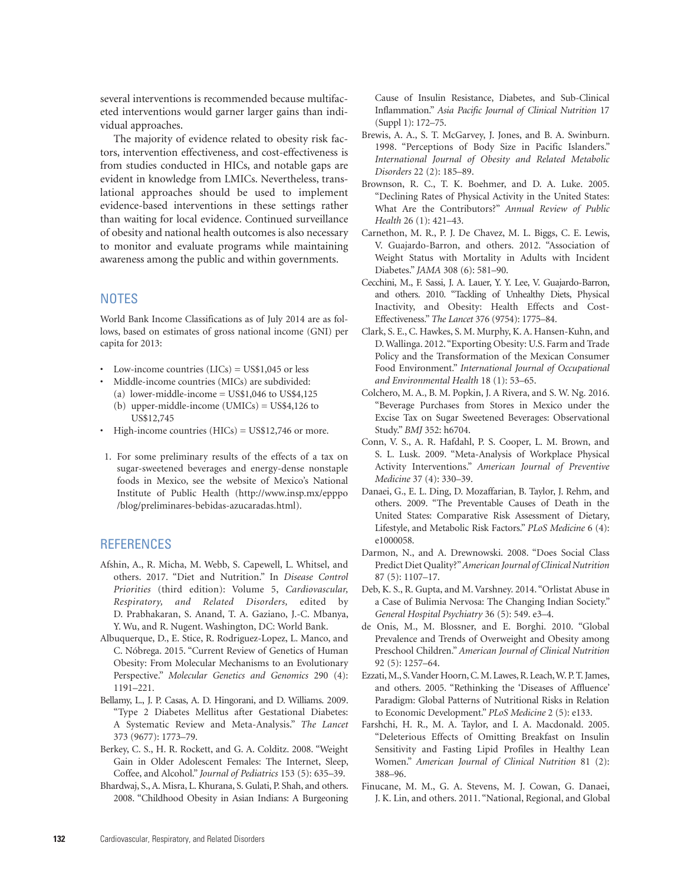several interventions is recommended because multifaceted interventions would garner larger gains than individual approaches.

The majority of evidence related to obesity risk factors, intervention effectiveness, and cost-effectiveness is from studies conducted in HICs, and notable gaps are evident in knowledge from LMICs. Nevertheless, translational approaches should be used to implement evidence-based interventions in these settings rather than waiting for local evidence. Continued surveillance of obesity and national health outcomes is also necessary to monitor and evaluate programs while maintaining awareness among the public and within governments.

# **NOTES**

World Bank Income Classifications as of July 2014 are as follows, based on estimates of gross national income (GNI) per capita for 2013:

- Low-income countries  $(LICs) = US$1,045$  or less
- Middle-income countries (MICs) are subdivided: (a) lower-middle-income  $=$  US\$1,046 to US\$4,125 (b) upper-middle-income (UMICs) = US\$4,126 to US\$12,745
- High-income countries (HICs) = US\$12,746 or more.
- 1. For some preliminary results of the effects of a tax on sugar-sweetened beverages and energy-dense nonstaple foods in Mexico, see the website of Mexico's National Institute of Public Health [\(http://www.insp.mx/epppo](http://www.insp.mx/epppo/blog/preliminares-bebidas-azucaradas.html)  [/ blog/ preliminares-bebidas-azucaradas.html\)](http://www.insp.mx/epppo/blog/preliminares-bebidas-azucaradas.html).

# REFERENCES

- Afshin, A., R. Micha, M. Webb, S. Capewell, L. Whitsel, and others. 2017. "Diet and Nutrition." In *Disease Control Priorities* (third edition): Volume 5, *Cardiovascular, Respiratory, and Related Disorders,* edited by D. Prabhakaran, S. Anand, T. A. Gaziano, J.-C. Mbanya, Y. Wu, and R. Nugent. Washington, DC: World Bank.
- Albuquerque, D., E. Stice, R. Rodriguez-Lopez, L. Manco, and C. Nóbrega. 2015. "Current Review of Genetics of Human Obesity: From Molecular Mechanisms to an Evolutionary Perspective." *Molecular Genetics and Genomics* 290 (4): 1191–221.
- Bellamy, L., J. P. Casas, A. D. Hingorani, and D. Williams. 2009. "Type 2 Diabetes Mellitus after Gestational Diabetes: A Systematic Review and Meta-Analysis." *The Lancet* 373 (9677): 1773–79.
- Berkey, C. S., H. R. Rockett, and G. A. Colditz. 2008. "Weight Gain in Older Adolescent Females: The Internet, Sleep, Coffee, and Alcohol." *Journal of Pediatrics* 153 (5): 635–39.
- Bhardwaj, S., A. Misra, L. Khurana, S. Gulati, P. Shah, and others. 2008. "Childhood Obesity in Asian Indians: A Burgeoning

Cause of Insulin Resistance, Diabetes, and Sub-Clinical Inflammation." *Asia Pacific Journal of Clinical Nutrition* 17 (Suppl 1): 172–75.

- Brewis, A. A., S. T. McGarvey, J. Jones, and B. A. Swinburn. 1998. "Perceptions of Body Size in Pacific Islanders." *International Journal of Obesity and Related Metabolic Disorders* 22 (2): 185–89.
- Brownson, R. C., T. K. Boehmer, and D. A. Luke. 2005. "Declining Rates of Physical Activity in the United States: What Are the Contributors?" *Annual Review of Public Health* 26 (1): 421–43.
- Carnethon, M. R., P. J. De Chavez, M. L. Biggs, C. E. Lewis, V. Guajardo-Barron, and others. 2012. "Association of Weight Status with Mortality in Adults with Incident Diabetes." *JAMA* 308 (6): 581–90.
- Cecchini, M., F. Sassi, J. A. Lauer, Y. Y. Lee, V. Guajardo-Barron, and others. 2010. "Tackling of Unhealthy Diets, Physical Inactivity, and Obesity: Health Effects and Cost-Effectiveness." *The Lancet* 376 (9754): 1775–84.
- Clark, S. E., C. Hawkes, S. M. Murphy, K. A. Hansen-Kuhn, and D. Wallinga. 2012. "Exporting Obesity: U.S. Farm and Trade Policy and the Transformation of the Mexican Consumer Food Environment." *International Journal of Occupational and Environmental Health* 18 (1): 53–65.
- Colchero, M. A., B. M. Popkin, J. A Rivera, and S. W. Ng. 2016. "Beverage Purchases from Stores in Mexico under the Excise Tax on Sugar Sweetened Beverages: Observational Study." *BMJ* 352: h6704.
- Conn, V. S., A. R. Hafdahl, P. S. Cooper, L. M. Brown, and S. L. Lusk. 2009. "Meta-Analysis of Workplace Physical Activity Interventions." *American Journal of Preventive Medicine* 37 (4): 330–39.
- Danaei, G., E. L. Ding, D. Mozaffarian, B. Taylor, J. Rehm, and others. 2009. "The Preventable Causes of Death in the United States: Comparative Risk Assessment of Dietary, Lifestyle, and Metabolic Risk Factors." *PLoS Medicine* 6 (4): e1000058.
- Darmon, N., and A. Drewnowski. 2008. "Does Social Class Predict Diet Quality?" *American Journal of Clinical Nutrition* 87 (5): 1107–17.
- Deb, K. S., R. Gupta, and M. Varshney. 2014. "Orlistat Abuse in a Case of Bulimia Nervosa: The Changing Indian Society." *General Hospital Psychiatry* 36 (5): 549. e3–4.
- de Onis, M., M. Blossner, and E. Borghi. 2010. "Global Prevalence and Trends of Overweight and Obesity among Preschool Children." *American Journal of Clinical Nutrition* 92 (5): 1257–64.
- Ezzati, M., S. Vander Hoorn, C. M. Lawes, R. Leach, W. P. T. James, and others. 2005. "Rethinking the 'Diseases of Affluence' Paradigm: Global Patterns of Nutritional Risks in Relation to Economic Development." *PLoS Medicine* 2 (5): e133.
- Farshchi, H. R., M. A. Taylor, and I. A. Macdonald. 2005. "Deleterious Effects of Omitting Breakfast on Insulin Sensitivity and Fasting Lipid Profiles in Healthy Lean Women." *American Journal of Clinical Nutrition* 81 (2): 388–96.
- Finucane, M. M., G. A. Stevens, M. J. Cowan, G. Danaei, J. K. Lin, and others. 2011. "National, Regional, and Global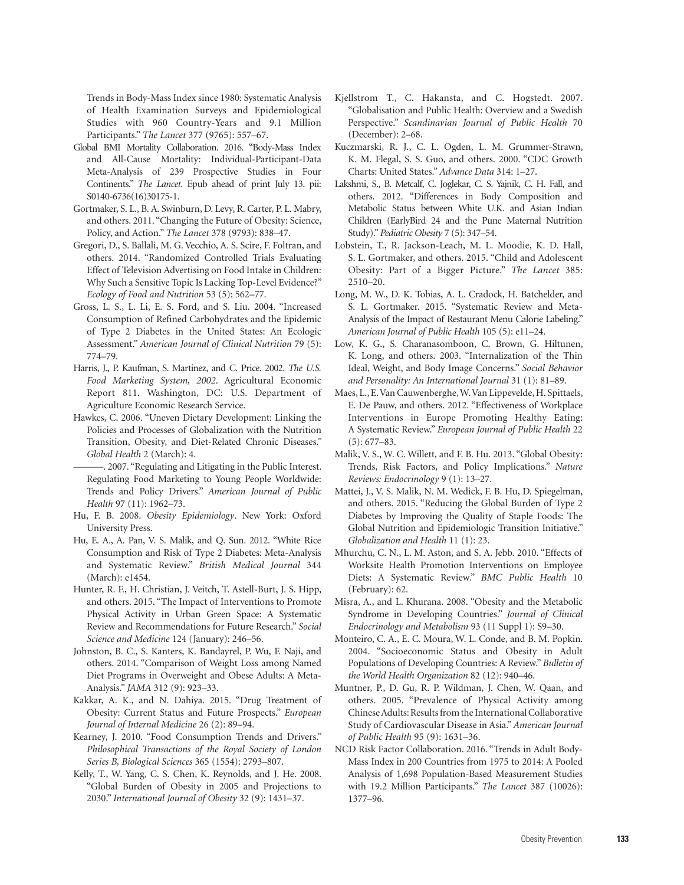Trends in Body-Mass Index since 1980: Systematic Analysis of Health Examination Surveys and Epidemiological Studies with 960 Country-Years and 9.1 Million Participants." *The Lancet* 377 (9765): 557–67.

- Global BMI Mortality Collaboration. 2016. "Body-Mass Index and All-Cause Mortality: Individual-Participant-Data Meta-Analysis of 239 Prospective Studies in Four Continents." *The Lancet*. Epub ahead of print July 13. pii: S0140-6736(16)30175-1.
- Gortmaker, S. L., B. A. Swinburn, D. Levy, R. Carter, P. L. Mabry, and others. 2011. "Changing the Future of Obesity: Science, Policy, and Action." *The Lancet* 378 (9793): 838–47.
- Gregori, D., S. Ballali, M. G. Vecchio, A. S. Scire, F. Foltran, and others. 2014. "Randomized Controlled Trials Evaluating Effect of Television Advertising on Food Intake in Children: Why Such a Sensitive Topic Is Lacking Top-Level Evidence?" *Ecology of Food and Nutrition* 53 (5): 562–77.
- Gross, L. S., L. Li, E. S. Ford, and S. Liu. 2004. "Increased Consumption of Refined Carbohydrates and the Epidemic of Type 2 Diabetes in the United States: An Ecologic Assessment." *American Journal of Clinical Nutrition* 79 (5): 774–79.
- Harris, J., P. Kaufman, S. Martinez, and C. Price. 2002. *The U.S. Food Marketing System, 2002*. Agricultural Economic Report 811. Washington, DC: U.S. Department of Agriculture Economic Research Service.
- Hawkes, C. 2006. "Uneven Dietary Development: Linking the Policies and Processes of Globalization with the Nutrition Transition, Obesity, and Diet-Related Chronic Diseases." *Global Health* 2 (March): 4.
- . 2007. "Regulating and Litigating in the Public Interest. Regulating Food Marketing to Young People Worldwide: Trends and Policy Drivers." *American Journal of Public Health* 97 (11): 1962–73.
- Hu, F. B. 2008. *Obesity Epidemiology*. New York: Oxford University Press.
- Hu, E. A., A. Pan, V. S. Malik, and Q. Sun. 2012. "White Rice Consumption and Risk of Type 2 Diabetes: Meta-Analysis and Systematic Review." *British Medical Journal* 344 (March): e1454.
- Hunter, R. F., H. Christian, J. Veitch, T. Astell-Burt, J. S. Hipp, and others. 2015. "The Impact of Interventions to Promote Physical Activity in Urban Green Space: A Systematic Review and Recommendations for Future Research." *Social Science and Medicine* 124 (January): 246–56.
- Johnston, B. C., S. Kanters, K. Bandayrel, P. Wu, F. Naji, and others. 2014. "Comparison of Weight Loss among Named Diet Programs in Overweight and Obese Adults: A Meta-Analysis." *JAMA* 312 (9): 923–33.
- Kakkar, A. K., and N. Dahiya. 2015. "Drug Treatment of Obesity: Current Status and Future Prospects." *European Journal of Internal Medicine* 26 (2): 89–94.
- Kearney, J. 2010. "Food Consumption Trends and Drivers." *Philosophical Transactions of the Royal Society of London Series B, Biological Sciences* 365 (1554): 2793–807.
- Kelly, T., W. Yang, C. S. Chen, K. Reynolds, and J. He. 2008. "Global Burden of Obesity in 2005 and Projections to 2030." *International Journal of Obesity* 32 (9): 1431–37.
- Kjellstrom T., C. Hakansta, and C. Hogstedt. 2007. "Globalisation and Public Health: Overview and a Swedish Perspective." *Scandinavian Journal of Public Health* 70 (December): 2–68.
- Kuczmarski, R. J., C. L. Ogden, L. M. Grummer-Strawn, K. M. Flegal, S. S. Guo, and others. 2000. "CDC Growth Charts: United States." *Advance Data* 314: 1–27.
- Lakshmi, S., B. Metcalf, C. Joglekar, C. S. Yajnik, C. H. Fall, and others. 2012. "Differences in Body Composition and Metabolic Status between White U.K. and Asian Indian Children (EarlyBird 24 and the Pune Maternal Nutrition Study)." *Pediatric Obesity* 7 (5): 347–54.
- Lobstein, T., R. Jackson-Leach, M. L. Moodie, K. D. Hall, S. L. Gortmaker, and others. 2015. "Child and Adolescent Obesity: Part of a Bigger Picture." *The Lancet* 385: 2510–20.
- Long, M. W., D. K. Tobias, A. L. Cradock, H. Batchelder, and S. L. Gortmaker. 2015. "Systematic Review and Meta-Analysis of the Impact of Restaurant Menu Calorie Labeling." *American Journal of Public Health* 105 (5): e11–24.
- Low, K. G., S. Charanasomboon, C. Brown, G. Hiltunen, K. Long, and others. 2003. "Internalization of the Thin Ideal, Weight, and Body Image Concerns." *Social Behavior and Personality: An International Journal* 31 (1): 81–89.
- Maes, L., E. Van Cauwenberghe, W. Van Lippevelde, H. Spittaels, E. De Pauw, and others. 2012. "Effectiveness of Workplace Interventions in Europe Promoting Healthy Eating: A Systematic Review." *European Journal of Public Health* 22 (5): 677–83.
- Malik, V. S., W. C. Willett, and F. B. Hu. 2013. "Global Obesity: Trends, Risk Factors, and Policy Implications." *Nature Reviews: Endocrinology* 9 (1): 13–27.
- Mattei, J., V. S. Malik, N. M. Wedick, F. B. Hu, D. Spiegelman, and others. 2015. "Reducing the Global Burden of Type 2 Diabetes by Improving the Quality of Staple Foods: The Global Nutrition and Epidemiologic Transition Initiative." *Globalization and Health* 11 (1): 23.
- Mhurchu, C. N., L. M. Aston, and S. A. Jebb. 2010. "Effects of Worksite Health Promotion Interventions on Employee Diets: A Systematic Review." *BMC Public Health* 10 (February): 62.
- Misra, A., and L. Khurana. 2008. "Obesity and the Metabolic Syndrome in Developing Countries." *Journal of Clinical Endocrinology and Metabolism* 93 (11 Suppl 1): S9–30.
- Monteiro, C. A., E. C. Moura, W. L. Conde, and B. M. Popkin. 2004. "Socioeconomic Status and Obesity in Adult Populations of Developing Countries: A Review." *Bulletin of the World Health Organization* 82 (12): 940–46.
- Muntner, P., D. Gu, R. P. Wildman, J. Chen, W. Qaan, and others. 2005. "Prevalence of Physical Activity among Chinese Adults: Results from the International Collaborative Study of Cardiovascular Disease in Asia." *American Journal of Public Health* 95 (9): 1631–36.
- NCD Risk Factor Collaboration. 2016. "Trends in Adult Body-Mass Index in 200 Countries from 1975 to 2014: A Pooled Analysis of 1,698 Population-Based Measurement Studies with 19.2 Million Participants." *The Lancet* 387 (10026): 1377–96.